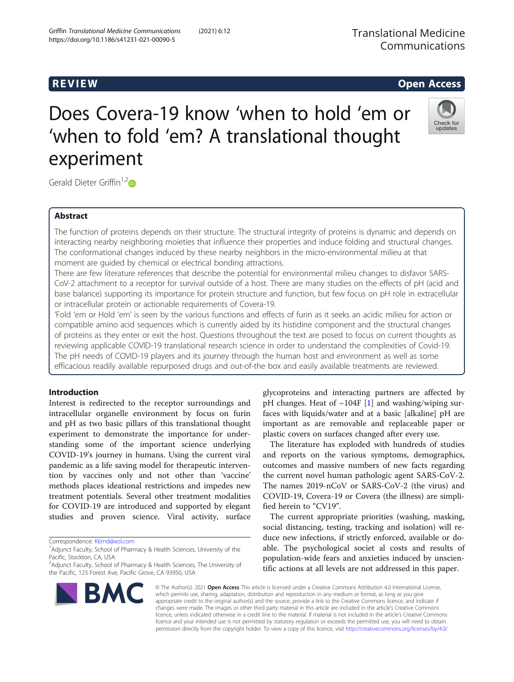# **REVIEW CONSTRUCTION CONSTRUCTION CONSTRUCTS**

# Does Covera-19 know 'when to hold 'em or 'when to fold 'em? A translational thought experiment



Gerald Dieter Griffin<sup>1,2</sup><sup>D</sup>

# Abstract

The function of proteins depends on their structure. The structural integrity of proteins is dynamic and depends on interacting nearby neighboring moieties that influence their properties and induce folding and structural changes. The conformational changes induced by these nearby neighbors in the micro-environmental milieu at that moment are guided by chemical or electrical bonding attractions.

There are few literature references that describe the potential for environmental milieu changes to disfavor SARS-CoV-2 attachment to a receptor for survival outside of a host. There are many studies on the effects of pH (acid and base balance) supporting its importance for protein structure and function, but few focus on pH role in extracellular or intracellular protein or actionable requirements of Covera-19.

'Fold 'em or Hold 'em' is seen by the various functions and effects of furin as it seeks an acidic milieu for action or compatible amino acid sequences which is currently aided by its histidine component and the structural changes of proteins as they enter or exit the host. Questions throughout the text are posed to focus on current thoughts as reviewing applicable COVID-19 translational research science in order to understand the complexities of Covid-19. The pH needs of COVID-19 players and its journey through the human host and environment as well as some efficacious readily available repurposed drugs and out-of-the box and easily available treatments are reviewed.

# Introduction

Interest is redirected to the receptor surroundings and intracellular organelle environment by focus on furin and pH as two basic pillars of this translational thought experiment to demonstrate the importance for understanding some of the important science underlying COVID-19's journey in humans. Using the current viral pandemic as a life saving model for therapeutic intervention by vaccines only and not other than 'vaccine' methods places ideational restrictions and impedes new treatment potentials. Several other treatment modalities for COVID-19 are introduced and supported by elegant studies and proven science. Viral activity, surface

Correspondence: [K6md@aol.com](mailto:K6md@aol.com) <sup>1</sup>

pH changes. Heat of  $\sim$ 104F [\[1](#page-14-0)] and washing/wiping surfaces with liquids/water and at a basic [alkaline] pH are important as are removable and replaceable paper or plastic covers on surfaces changed after every use. The literature has exploded with hundreds of studies

glycoproteins and interacting partners are affected by

and reports on the various symptoms, demographics, outcomes and massive numbers of new facts regarding the current novel human pathologic agent SARS-CoV-2. The names 2019-nCoV or SARS-CoV-2 (the virus) and COVID-19, Covera-19 or Covera (the illness) are simplified herein to "CV19".

The current appropriate priorities (washing, masking, social distancing, testing, tracking and isolation) will reduce new infections, if strictly enforced, available or doable. The psychological societ al costs and results of population-wide fears and anxieties induced by unscientific actions at all levels are not addressed in this paper.



© The Author(s). 2021 Open Access This article is licensed under a Creative Commons Attribution 4.0 International License, which permits use, sharing, adaptation, distribution and reproduction in any medium or format, as long as you give appropriate credit to the original author(s) and the source, provide a link to the Creative Commons licence, and indicate if changes were made. The images or other third party material in this article are included in the article's Creative Commons licence, unless indicated otherwise in a credit line to the material. If material is not included in the article's Creative Commons licence and your intended use is not permitted by statutory regulation or exceeds the permitted use, you will need to obtain permission directly from the copyright holder. To view a copy of this licence, visit [http://creativecommons.org/licenses/by/4.0/.](http://creativecommons.org/licenses/by/4.0/)

<sup>&</sup>lt;sup>1</sup> Adjunct Faculty, School of Pharmacy & Health Sciences, University of the Pacific, Stockton, CA, USA

<sup>&</sup>lt;sup>2</sup>Adjunct Faculty, School of Pharmacy & Health Sciences, The University of the Pacific, 123 Forest Ave, Pacific Grove, CA 93950, USA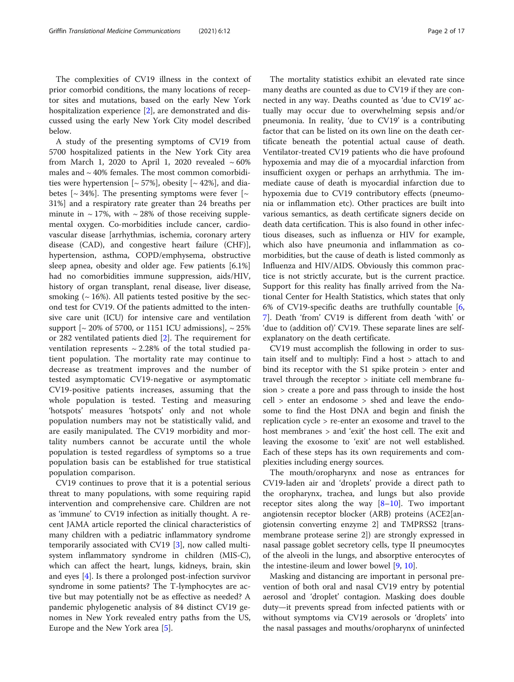The complexities of CV19 illness in the context of prior comorbid conditions, the many locations of receptor sites and mutations, based on the early New York hospitalization experience [\[2](#page-15-0)], are demonstrated and discussed using the early New York City model described below.

A study of the presenting symptoms of CV19 from 5700 hospitalized patients in the New York City area from March 1, 2020 to April 1, 2020 revealed  $\sim 60\%$ males and  $\sim$  40% females. The most common comorbidities were hypertension  $[~57\%]$ , obesity  $[~42\%]$ , and diabetes  $\lceil \sim 34\% \rceil$ . The presenting symptoms were fever  $\lceil \sim 1 \rceil$ 31%] and a respiratory rate greater than 24 breaths per minute in  $\sim$  17%, with  $\sim$  28% of those receiving supplemental oxygen. Co-morbidities include cancer, cardiovascular disease [arrhythmias, ischemia, coronary artery disease (CAD), and congestive heart failure (CHF)], hypertension, asthma, COPD/emphysema, obstructive sleep apnea, obesity and older age. Few patients [6.1%] had no comorbidities immune suppression, aids/HIV, history of organ transplant, renal disease, liver disease, smoking  $($   $\sim$  16%). All patients tested positive by the second test for CV19. Of the patients admitted to the intensive care unit (ICU) for intensive care and ventilation support  $\left[\sim 20\% \text{ of } 5700, \text{ or } 1151 \text{ ICU} \text{ admissions}\right], \sim 25\%$ or 282 ventilated patients died [[2\]](#page-15-0). The requirement for ventilation represents  $\sim$  2.28% of the total studied patient population. The mortality rate may continue to decrease as treatment improves and the number of tested asymptomatic CV19-negative or asymptomatic CV19-positive patients increases, assuming that the whole population is tested. Testing and measuring 'hotspots' measures 'hotspots' only and not whole population numbers may not be statistically valid, and are easily manipulated. The CV19 morbidity and mortality numbers cannot be accurate until the whole population is tested regardless of symptoms so a true population basis can be established for true statistical population comparison.

CV19 continues to prove that it is a potential serious threat to many populations, with some requiring rapid intervention and comprehensive care. Children are not as 'immune' to CV19 infection as initially thought. A recent JAMA article reported the clinical characteristics of many children with a pediatric inflammatory syndrome temporarily associated with CV19 [[3](#page-15-0)], now called multisystem inflammatory syndrome in children (MIS-C), which can affect the heart, lungs, kidneys, brain, skin and eyes [\[4\]](#page-15-0). Is there a prolonged post-infection survivor syndrome in some patients? The T-lymphocytes are active but may potentially not be as effective as needed? A pandemic phylogenetic analysis of 84 distinct CV19 genomes in New York revealed entry paths from the US, Europe and the New York area [\[5](#page-15-0)].

The mortality statistics exhibit an elevated rate since many deaths are counted as due to CV19 if they are connected in any way. Deaths counted as 'due to CV19' actually may occur due to overwhelming sepsis and/or pneumonia. In reality, 'due to CV19' is a contributing factor that can be listed on its own line on the death certificate beneath the potential actual cause of death. Ventilator-treated CV19 patients who die have profound hypoxemia and may die of a myocardial infarction from insufficient oxygen or perhaps an arrhythmia. The immediate cause of death is myocardial infarction due to hypoxemia due to CV19 contributory effects (pneumonia or inflammation etc). Other practices are built into various semantics, as death certificate signers decide on death data certification. This is also found in other infectious diseases, such as influenza or HIV for example, which also have pneumonia and inflammation as comorbidities, but the cause of death is listed commonly as Influenza and HIV/AIDS. Obviously this common practice is not strictly accurate, but is the current practice. Support for this reality has finally arrived from the National Center for Health Statistics, which states that only 6% of CV19-specific deaths are truthfully countable [\[6](#page-15-0), [7\]](#page-15-0). Death 'from' CV19 is different from death 'with' or 'due to (addition of)' CV19. These separate lines are selfexplanatory on the death certificate.

CV19 must accomplish the following in order to sustain itself and to multiply: Find a host > attach to and bind its receptor with the S1 spike protein > enter and travel through the receptor > initiate cell membrane fusion > create a pore and pass through to inside the host cell > enter an endosome > shed and leave the endosome to find the Host DNA and begin and finish the replication cycle > re-enter an exosome and travel to the host membranes > and 'exit' the host cell. The exit and leaving the exosome to 'exit' are not well established. Each of these steps has its own requirements and complexities including energy sources.

The mouth/oropharynx and nose as entrances for CV19-laden air and 'droplets' provide a direct path to the oropharynx, trachea, and lungs but also provide receptor sites along the way  $[8-10]$  $[8-10]$  $[8-10]$  $[8-10]$ . Two important angiotensin receptor blocker (ARB) proteins (ACE2[angiotensin converting enzyme 2] and TMPRSS2 [transmembrane protease serine 2]) are strongly expressed in nasal passage goblet secretory cells, type II pneumocytes of the alveoli in the lungs, and absorptive enterocytes of the intestine-ileum and lower bowel [[9,](#page-15-0) [10](#page-15-0)].

Masking and distancing are important in personal prevention of both oral and nasal CV19 entry by potential aerosol and 'droplet' contagion. Masking does double duty—it prevents spread from infected patients with or without symptoms via CV19 aerosols or 'droplets' into the nasal passages and mouths/oropharynx of uninfected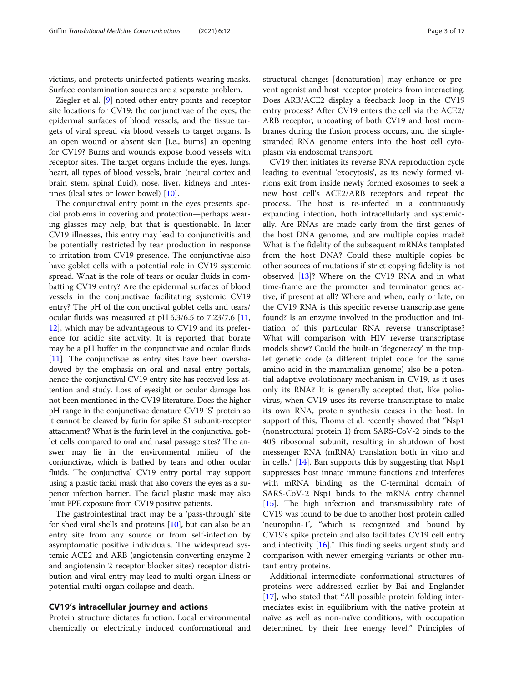victims, and protects uninfected patients wearing masks. Surface contamination sources are a separate problem.

Ziegler et al. [[9\]](#page-15-0) noted other entry points and receptor site locations for CV19: the conjunctivae of the eyes, the epidermal surfaces of blood vessels, and the tissue targets of viral spread via blood vessels to target organs. Is an open wound or absent skin [i.e., burns] an opening for CV19? Burns and wounds expose blood vessels with receptor sites. The target organs include the eyes, lungs, heart, all types of blood vessels, brain (neural cortex and brain stem, spinal fluid), nose, liver, kidneys and intestines (ileal sites or lower bowel) [[10\]](#page-15-0).

The conjunctival entry point in the eyes presents special problems in covering and protection—perhaps wearing glasses may help, but that is questionable. In later CV19 illnesses, this entry may lead to conjunctivitis and be potentially restricted by tear production in response to irritation from CV19 presence. The conjunctivae also have goblet cells with a potential role in CV19 systemic spread. What is the role of tears or ocular fluids in combatting CV19 entry? Are the epidermal surfaces of blood vessels in the conjunctivae facilitating systemic CV19 entry? The pH of the conjunctival goblet cells and tears/ ocular fluids was measured at pH 6.3/6.5 to 7.23/7.6 [[11](#page-15-0), [12\]](#page-15-0), which may be advantageous to CV19 and its preference for acidic site activity. It is reported that borate may be a pH buffer in the conjunctivae and ocular fluids [[11\]](#page-15-0). The conjunctivae as entry sites have been overshadowed by the emphasis on oral and nasal entry portals, hence the conjunctival CV19 entry site has received less attention and study. Loss of eyesight or ocular damage has not been mentioned in the CV19 literature. Does the higher pH range in the conjunctivae denature CV19 'S' protein so it cannot be cleaved by furin for spike S1 subunit-receptor attachment? What is the furin level in the conjunctival goblet cells compared to oral and nasal passage sites? The answer may lie in the environmental milieu of the conjunctivae, which is bathed by tears and other ocular fluids. The conjunctival CV19 entry portal may support using a plastic facial mask that also covers the eyes as a superior infection barrier. The facial plastic mask may also limit PPE exposure from CV19 positive patients.

The gastrointestinal tract may be a 'pass-through' site for shed viral shells and proteins [\[10\]](#page-15-0), but can also be an entry site from any source or from self-infection by asymptomatic positive individuals. The widespread systemic ACE2 and ARB (angiotensin converting enzyme 2 and angiotensin 2 receptor blocker sites) receptor distribution and viral entry may lead to multi-organ illness or potential multi-organ collapse and death.

# CV19's intracellular journey and actions

Protein structure dictates function. Local environmental chemically or electrically induced conformational and structural changes [denaturation] may enhance or prevent agonist and host receptor proteins from interacting. Does ARB/ACE2 display a feedback loop in the CV19 entry process? After CV19 enters the cell via the ACE2/ ARB receptor, uncoating of both CV19 and host membranes during the fusion process occurs, and the singlestranded RNA genome enters into the host cell cytoplasm via endosomal transport.

CV19 then initiates its reverse RNA reproduction cycle leading to eventual 'exocytosis', as its newly formed virions exit from inside newly formed exosomes to seek a new host cell's ACE2/ARB receptors and repeat the process. The host is re-infected in a continuously expanding infection, both intracellularly and systemically. Are RNAs are made early from the first genes of the host DNA genome, and are multiple copies made? What is the fidelity of the subsequent mRNAs templated from the host DNA? Could these multiple copies be other sources of mutations if strict copying fidelity is not observed [[13](#page-15-0)]? Where on the CV19 RNA and in what time-frame are the promoter and terminator genes active, if present at all? Where and when, early or late, on the CV19 RNA is this specific reverse transcriptase gene found? Is an enzyme involved in the production and initiation of this particular RNA reverse transcriptase? What will comparison with HIV reverse transcriptase models show? Could the built-in 'degeneracy' in the triplet genetic code (a different triplet code for the same amino acid in the mammalian genome) also be a potential adaptive evolutionary mechanism in CV19, as it uses only its RNA? It is generally accepted that, like poliovirus, when CV19 uses its reverse transcriptase to make its own RNA, protein synthesis ceases in the host. In support of this, Thoms et al. recently showed that "Nsp1 (nonstructural protein 1) from SARS-CoV-2 binds to the 40S ribosomal subunit, resulting in shutdown of host messenger RNA (mRNA) translation both in vitro and in cells." [[14\]](#page-15-0). Ban supports this by suggesting that Nsp1 suppresses host innate immune functions and interferes with mRNA binding, as the C-terminal domain of SARS-CoV-2 Nsp1 binds to the mRNA entry channel [[15\]](#page-15-0). The high infection and transmissibility rate of CV19 was found to be due to another host protein called 'neuropilin-1', "which is recognized and bound by CV19's spike protein and also facilitates CV19 cell entry and infectivity [\[16\]](#page-15-0)." This finding seeks urgent study and comparison with newer emerging variants or other mutant entry proteins.

Additional intermediate conformational structures of proteins were addressed earlier by Bai and Englander [[17\]](#page-15-0), who stated that "All possible protein folding intermediates exist in equilibrium with the native protein at naïve as well as non-naïve conditions, with occupation determined by their free energy level." Principles of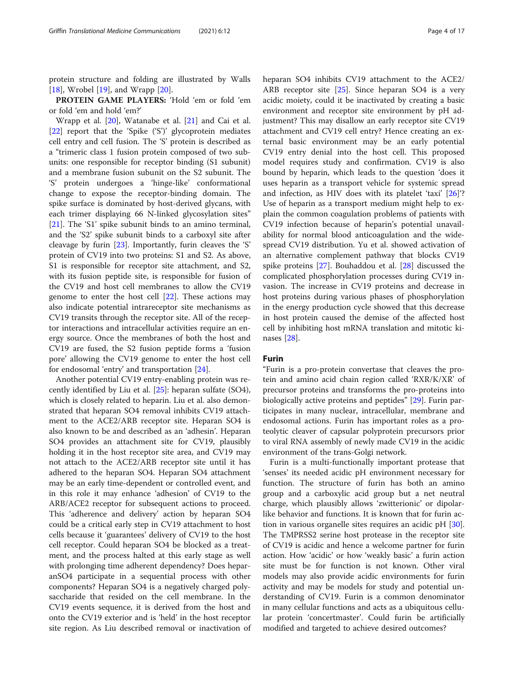protein structure and folding are illustrated by Walls [[18\]](#page-15-0), Wrobel [[19\]](#page-15-0), and Wrapp  $[20]$  $[20]$ .

PROTEIN GAME PLAYERS: 'Hold 'em or fold 'em or fold 'em and hold 'em?'

Wrapp et al. [[20\]](#page-15-0), Watanabe et al. [[21](#page-15-0)] and Cai et al. [[22\]](#page-15-0) report that the 'Spike ('S')' glycoprotein mediates cell entry and cell fusion. The 'S' protein is described as a "trimeric class 1 fusion protein composed of two subunits: one responsible for receptor binding (S1 subunit) and a membrane fusion subunit on the S2 subunit. The 'S' protein undergoes a 'hinge-like' conformational change to expose the receptor-binding domain. The spike surface is dominated by host-derived glycans, with each trimer displaying 66 N-linked glycosylation sites" [[21\]](#page-15-0). The 'S1' spike subunit binds to an amino terminal, and the 'S2' spike subunit binds to a carboxyl site after cleavage by furin [[23\]](#page-15-0). Importantly, furin cleaves the 'S' protein of CV19 into two proteins: S1 and S2. As above, S1 is responsible for receptor site attachment, and S2, with its fusion peptide site, is responsible for fusion of the CV19 and host cell membranes to allow the CV19 genome to enter the host cell [[22\]](#page-15-0). These actions may also indicate potential intrareceptor site mechanisms as CV19 transits through the receptor site. All of the receptor interactions and intracellular activities require an energy source. Once the membranes of both the host and CV19 are fused, the S2 fusion peptide forms a 'fusion pore' allowing the CV19 genome to enter the host cell for endosomal 'entry' and transportation [[24\]](#page-15-0).

Another potential CV19 entry-enabling protein was recently identified by Liu et al. [[25\]](#page-15-0): heparan sulfate (SO4), which is closely related to heparin. Liu et al. also demonstrated that heparan SO4 removal inhibits CV19 attachment to the ACE2/ARB receptor site. Heparan SO4 is also known to be and described as an 'adhesin'. Heparan SO4 provides an attachment site for CV19, plausibly holding it in the host receptor site area, and CV19 may not attach to the ACE2/ARB receptor site until it has adhered to the heparan SO4. Heparan SO4 attachment may be an early time-dependent or controlled event, and in this role it may enhance 'adhesion' of CV19 to the ARB/ACE2 receptor for subsequent actions to proceed. This 'adherence and delivery' action by heparan SO4 could be a critical early step in CV19 attachment to host cells because it 'guarantees' delivery of CV19 to the host cell receptor. Could heparan SO4 be blocked as a treatment, and the process halted at this early stage as well with prolonging time adherent dependency? Does heparanSO4 participate in a sequential process with other components? Heparan SO4 is a negatively charged polysaccharide that resided on the cell membrane. In the CV19 events sequence, it is derived from the host and onto the CV19 exterior and is 'held' in the host receptor site region. As Liu described removal or inactivation of heparan SO4 inhibits CV19 attachment to the ACE2/ ARB receptor site [[25\]](#page-15-0). Since heparan SO4 is a very acidic moiety, could it be inactivated by creating a basic environment and receptor site environment by pH adjustment? This may disallow an early receptor site CV19 attachment and CV19 cell entry? Hence creating an external basic environment may be an early potential CV19 entry denial into the host cell. This proposed model requires study and confirmation. CV19 is also bound by heparin, which leads to the question 'does it uses heparin as a transport vehicle for systemic spread and infection, as HIV does with its platelet 'taxi' [[26\]](#page-15-0)'? Use of heparin as a transport medium might help to explain the common coagulation problems of patients with CV19 infection because of heparin's potential unavailability for normal blood anticoagulation and the widespread CV19 distribution. Yu et al. showed activation of an alternative complement pathway that blocks CV19 spike proteins [[27\]](#page-15-0). Bouhaddou et al. [[28\]](#page-15-0) discussed the complicated phosphorylation processes during CV19 invasion. The increase in CV19 proteins and decrease in host proteins during various phases of phosphorylation in the energy production cycle showed that this decrease in host protein caused the demise of the affected host cell by inhibiting host mRNA translation and mitotic kinases [[28](#page-15-0)].

# Furin

"Furin is a pro-protein convertase that cleaves the protein and amino acid chain region called 'RXR/K/XR' of precursor proteins and transforms the pro-proteins into biologically active proteins and peptides" [\[29](#page-15-0)]. Furin participates in many nuclear, intracellular, membrane and endosomal actions. Furin has important roles as a proteolytic cleaver of capsular polyprotein precursors prior to viral RNA assembly of newly made CV19 in the acidic environment of the trans-Golgi network.

Furin is a multi-functionally important protease that 'senses' its needed acidic pH environment necessary for function. The structure of furin has both an amino group and a carboxylic acid group but a net neutral charge, which plausibly allows 'zwitterionic' or dipolarlike behavior and functions. It is known that for furin action in various organelle sites requires an acidic pH [\[30](#page-15-0)]. The TMPRSS2 serine host protease in the receptor site of CV19 is acidic and hence a welcome partner for furin action. How 'acidic' or how 'weakly basic' a furin action site must be for function is not known. Other viral models may also provide acidic environments for furin activity and may be models for study and potential understanding of CV19. Furin is a common denominator in many cellular functions and acts as a ubiquitous cellular protein 'concertmaster'. Could furin be artificially modified and targeted to achieve desired outcomes?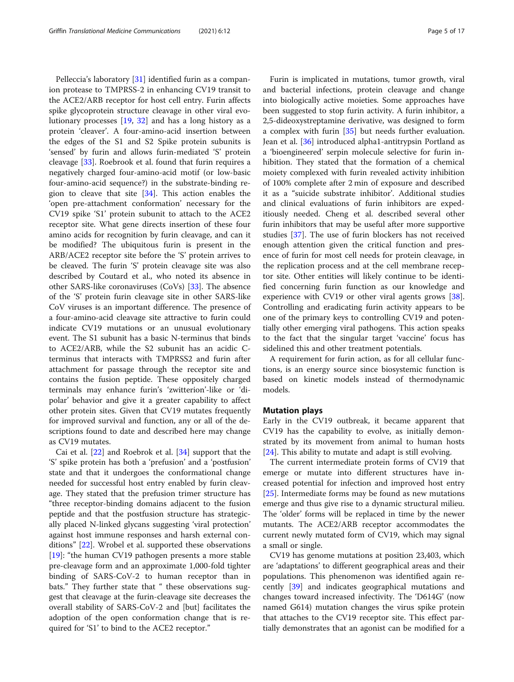Pelleccia's laboratory [\[31\]](#page-15-0) identified furin as a companion protease to TMPRSS-2 in enhancing CV19 transit to the ACE2/ARB receptor for host cell entry. Furin affects spike glycoprotein structure cleavage in other viral evolutionary processes [[19,](#page-15-0) [32\]](#page-15-0) and has a long history as a protein 'cleaver'. A four-amino-acid insertion between the edges of the S1 and S2 Spike protein subunits is 'sensed' by furin and allows furin-mediated 'S' protein cleavage [[33\]](#page-15-0). Roebrook et al. found that furin requires a negatively charged four-amino-acid motif (or low-basic four-amino-acid sequence?) in the substrate-binding region to cleave that site  $[34]$  $[34]$  $[34]$ . This action enables the 'open pre-attachment conformation' necessary for the CV19 spike 'S1' protein subunit to attach to the ACE2 receptor site. What gene directs insertion of these four amino acids for recognition by furin cleavage, and can it be modified? The ubiquitous furin is present in the ARB/ACE2 receptor site before the 'S' protein arrives to be cleaved. The furin 'S' protein cleavage site was also described by Coutard et al., who noted its absence in other SARS-like coronaviruses (CoVs) [[33](#page-15-0)]. The absence of the 'S' protein furin cleavage site in other SARS-like CoV viruses is an important difference. The presence of a four-amino-acid cleavage site attractive to furin could indicate CV19 mutations or an unusual evolutionary event. The S1 subunit has a basic N-terminus that binds to ACE2/ARB, while the S2 subunit has an acidic Cterminus that interacts with TMPRSS2 and furin after attachment for passage through the receptor site and contains the fusion peptide. These oppositely charged terminals may enhance furin's 'zwitterion'-like or 'dipolar' behavior and give it a greater capability to affect other protein sites. Given that CV19 mutates frequently for improved survival and function, any or all of the descriptions found to date and described here may change as CV19 mutates.

Cai et al. [\[22\]](#page-15-0) and Roebrok et al. [\[34\]](#page-15-0) support that the 'S' spike protein has both a 'prefusion' and a 'postfusion' state and that it undergoes the conformational change needed for successful host entry enabled by furin cleavage. They stated that the prefusion trimer structure has "three receptor-binding domains adjacent to the fusion peptide and that the postfusion structure has strategically placed N-linked glycans suggesting 'viral protection' against host immune responses and harsh external conditions" [[22](#page-15-0)]. Wrobel et al. supported these observations [[19\]](#page-15-0): "the human CV19 pathogen presents a more stable pre-cleavage form and an approximate 1,000-fold tighter binding of SARS-CoV-2 to human receptor than in bats." They further state that " these observations suggest that cleavage at the furin-cleavage site decreases the overall stability of SARS-CoV-2 and [but] facilitates the adoption of the open conformation change that is required for 'S1' to bind to the ACE2 receptor."

Furin is implicated in mutations, tumor growth, viral and bacterial infections, protein cleavage and change into biologically active moieties. Some approaches have been suggested to stop furin activity. A furin inhibitor, a 2,5-dideoxystreptamine derivative, was designed to form a complex with furin [[35](#page-15-0)] but needs further evaluation. Jean et al. [\[36](#page-15-0)] introduced alpha1-antitrypsin Portland as a 'bioengineered' serpin molecule selective for furin inhibition. They stated that the formation of a chemical moiety complexed with furin revealed activity inhibition of 100% complete after 2 min of exposure and described it as a "suicide substrate inhibitor'. Additional studies and clinical evaluations of furin inhibitors are expeditiously needed. Cheng et al. described several other furin inhibitors that may be useful after more supportive studies [\[37\]](#page-15-0). The use of furin blockers has not received enough attention given the critical function and presence of furin for most cell needs for protein cleavage, in the replication process and at the cell membrane receptor site. Other entities will likely continue to be identified concerning furin function as our knowledge and experience with CV19 or other viral agents grows [\[38](#page-15-0)]. Controlling and eradicating furin activity appears to be one of the primary keys to controlling CV19 and potentially other emerging viral pathogens. This action speaks to the fact that the singular target 'vaccine' focus has sidelined this and other treatment potentials.

A requirement for furin action, as for all cellular functions, is an energy source since biosystemic function is based on kinetic models instead of thermodynamic models.

# Mutation plays

Early in the CV19 outbreak, it became apparent that CV19 has the capability to evolve, as initially demonstrated by its movement from animal to human hosts [[24\]](#page-15-0). This ability to mutate and adapt is still evolving.

The current intermediate protein forms of CV19 that emerge or mutate into different structures have increased potential for infection and improved host entry [[25\]](#page-15-0). Intermediate forms may be found as new mutations emerge and thus give rise to a dynamic structural milieu. The 'older' forms will be replaced in time by the newer mutants. The ACE2/ARB receptor accommodates the current newly mutated form of CV19, which may signal a small or single.

CV19 has genome mutations at position 23,403, which are 'adaptations' to different geographical areas and their populations. This phenomenon was identified again recently [\[39\]](#page-15-0) and indicates geographical mutations and changes toward increased infectivity. The 'D614G' (now named G614) mutation changes the virus spike protein that attaches to the CV19 receptor site. This effect partially demonstrates that an agonist can be modified for a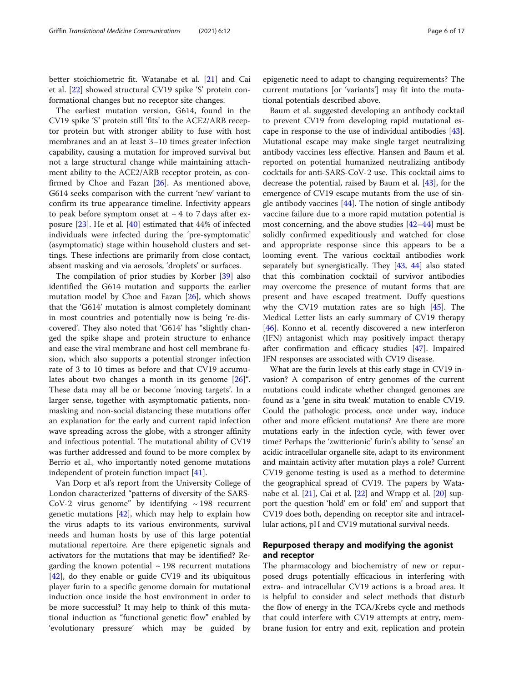better stoichiometric fit. Watanabe et al. [\[21](#page-15-0)] and Cai et al. [\[22\]](#page-15-0) showed structural CV19 spike 'S' protein conformational changes but no receptor site changes.

The earliest mutation version, G614, found in the CV19 spike 'S' protein still 'fits' to the ACE2/ARB receptor protein but with stronger ability to fuse with host membranes and an at least 3–10 times greater infection capability, causing a mutation for improved survival but not a large structural change while maintaining attachment ability to the ACE2/ARB receptor protein, as confirmed by Choe and Fazan [[26](#page-15-0)]. As mentioned above, G614 seeks comparison with the current 'new' variant to confirm its true appearance timeline. Infectivity appears to peak before symptom onset at  $\sim$  4 to 7 days after exposure [\[23](#page-15-0)]. He et al. [[40\]](#page-15-0) estimated that 44% of infected individuals were infected during the 'pre-symptomatic' (asymptomatic) stage within household clusters and settings. These infections are primarily from close contact, absent masking and via aerosols, 'droplets' or surfaces.

The compilation of prior studies by Korber [\[39](#page-15-0)] also identified the G614 mutation and supports the earlier mutation model by Choe and Fazan [[26](#page-15-0)], which shows that the 'G614' mutation is almost completely dominant in most countries and potentially now is being 're-discovered'. They also noted that 'G614' has "slightly changed the spike shape and protein structure to enhance and ease the viral membrane and host cell membrane fusion, which also supports a potential stronger infection rate of 3 to 10 times as before and that CV19 accumulates about two changes a month in its genome [[26\]](#page-15-0)". These data may all be or become 'moving targets'. In a larger sense, together with asymptomatic patients, nonmasking and non-social distancing these mutations offer an explanation for the early and current rapid infection wave spreading across the globe, with a stronger affinity and infectious potential. The mutational ability of CV19 was further addressed and found to be more complex by Berrio et al., who importantly noted genome mutations independent of protein function impact [\[41\]](#page-15-0).

Van Dorp et al's report from the University College of London characterized "patterns of diversity of the SARS-CoV-2 virus genome" by identifying  $\sim$  198 recurrent genetic mutations [[42\]](#page-15-0), which may help to explain how the virus adapts to its various environments, survival needs and human hosts by use of this large potential mutational repertoire. Are there epigenetic signals and activators for the mutations that may be identified? Regarding the known potential  $\sim$  198 recurrent mutations [[42\]](#page-15-0), do they enable or guide CV19 and its ubiquitous player furin to a specific genome domain for mutational induction once inside the host environment in order to be more successful? It may help to think of this mutational induction as "functional genetic flow" enabled by 'evolutionary pressure' which may be guided by

epigenetic need to adapt to changing requirements? The current mutations [or 'variants'] may fit into the mutational potentials described above.

Baum et al. suggested developing an antibody cocktail to prevent CV19 from developing rapid mutational escape in response to the use of individual antibodies [\[43](#page-15-0)]. Mutational escape may make single target neutralizing antibody vaccines less effective. Hansen and Baum et al. reported on potential humanized neutralizing antibody cocktails for anti-SARS-CoV-2 use. This cocktail aims to decrease the potential, raised by Baum et al. [[43](#page-15-0)], for the emergence of CV19 escape mutants from the use of single antibody vaccines [\[44\]](#page-15-0). The notion of single antibody vaccine failure due to a more rapid mutation potential is most concerning, and the above studies [[42](#page-15-0)–[44](#page-15-0)] must be solidly confirmed expeditiously and watched for close and appropriate response since this appears to be a looming event. The various cocktail antibodies work separately but synergistically. They [[43,](#page-15-0) [44](#page-15-0)] also stated that this combination cocktail of survivor antibodies may overcome the presence of mutant forms that are present and have escaped treatment. Duffy questions why the CV19 mutation rates are so high [[45](#page-15-0)]. The Medical Letter lists an early summary of CV19 therapy [[46\]](#page-15-0). Konno et al. recently discovered a new interferon (IFN) antagonist which may positively impact therapy after confirmation and efficacy studies [[47\]](#page-15-0). Impaired IFN responses are associated with CV19 disease.

What are the furin levels at this early stage in CV19 invasion? A comparison of entry genomes of the current mutations could indicate whether changed genomes are found as a 'gene in situ tweak' mutation to enable CV19. Could the pathologic process, once under way, induce other and more efficient mutations? Are there are more mutations early in the infection cycle, with fewer over time? Perhaps the 'zwitterionic' furin's ability to 'sense' an acidic intracellular organelle site, adapt to its environment and maintain activity after mutation plays a role? Current CV19 genome testing is used as a method to determine the geographical spread of CV19. The papers by Watanabe et al. [\[21\]](#page-15-0), Cai et al. [[22](#page-15-0)] and Wrapp et al. [\[20\]](#page-15-0) support the question 'hold' em or fold' em' and support that CV19 does both, depending on receptor site and intracellular actions, pH and CV19 mutational survival needs.

# Repurposed therapy and modifying the agonist and receptor

The pharmacology and biochemistry of new or repurposed drugs potentially efficacious in interfering with extra- and intracellular CV19 actions is a broad area. It is helpful to consider and select methods that disturb the flow of energy in the TCA/Krebs cycle and methods that could interfere with CV19 attempts at entry, membrane fusion for entry and exit, replication and protein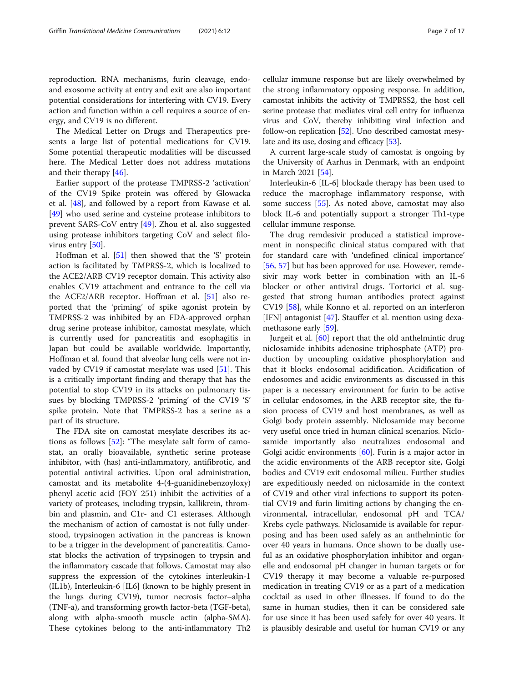reproduction. RNA mechanisms, furin cleavage, endoand exosome activity at entry and exit are also important potential considerations for interfering with CV19. Every action and function within a cell requires a source of energy, and CV19 is no different.

The Medical Letter on Drugs and Therapeutics presents a large list of potential medications for CV19. Some potential therapeutic modalities will be discussed here. The Medical Letter does not address mutations and their therapy [\[46](#page-15-0)].

Earlier support of the protease TMPRSS-2 'activation' of the CV19 Spike protein was offered by Glowacka et al. [\[48](#page-15-0)], and followed by a report from Kawase et al. [[49\]](#page-15-0) who used serine and cysteine protease inhibitors to prevent SARS-CoV entry [\[49\]](#page-15-0). Zhou et al. also suggested using protease inhibitors targeting CoV and select filo-virus entry [[50](#page-15-0)].

Hoffman et al. [\[51](#page-15-0)] then showed that the 'S' protein action is facilitated by TMPRSS-2, which is localized to the ACE2/ARB CV19 receptor domain. This activity also enables CV19 attachment and entrance to the cell via the ACE2/ARB receptor. Hoffman et al. [[51](#page-15-0)] also reported that the 'priming' of spike agonist protein by TMPRSS-2 was inhibited by an FDA-approved orphan drug serine protease inhibitor, camostat mesylate, which is currently used for pancreatitis and esophagitis in Japan but could be available worldwide. Importantly, Hoffman et al. found that alveolar lung cells were not invaded by CV19 if camostat mesylate was used  $[51]$  $[51]$ . This is a critically important finding and therapy that has the potential to stop CV19 in its attacks on pulmonary tissues by blocking TMPRSS-2 'priming' of the CV19 'S' spike protein. Note that TMPRSS-2 has a serine as a part of its structure.

The FDA site on camostat mesylate describes its actions as follows [[52\]](#page-15-0): "The mesylate salt form of camostat, an orally bioavailable, synthetic serine protease inhibitor, with (has) anti-inflammatory, antifibrotic, and potential antiviral activities. Upon oral administration, camostat and its metabolite 4-(4-guanidinebenzoyloxy) phenyl acetic acid (FOY 251) inhibit the activities of a variety of proteases, including trypsin, kallikrein, thrombin and plasmin, and C1r- and C1 esterases. Although the mechanism of action of camostat is not fully understood, trypsinogen activation in the pancreas is known to be a trigger in the development of pancreatitis. Camostat blocks the activation of trypsinogen to trypsin and the inflammatory cascade that follows. Camostat may also suppress the expression of the cytokines interleukin-1 (IL1b), Interleukin-6 [IL6] (known to be highly present in the lungs during CV19), tumor necrosis factor–alpha (TNF-a), and transforming growth factor-beta (TGF-beta), along with alpha-smooth muscle actin (alpha-SMA). These cytokines belong to the anti-inflammatory Th2

cellular immune response but are likely overwhelmed by the strong inflammatory opposing response. In addition, camostat inhibits the activity of TMPRSS2, the host cell serine protease that mediates viral cell entry for influenza virus and CoV, thereby inhibiting viral infection and follow-on replication [\[52\]](#page-15-0). Uno described camostat mesy-late and its use, dosing and efficacy [\[53\]](#page-15-0).

A current large-scale study of camostat is ongoing by the University of Aarhus in Denmark, with an endpoint in March 2021 [\[54](#page-16-0)].

Interleukin-6 [IL-6] blockade therapy has been used to reduce the macrophage inflammatory response, with some success [[55\]](#page-16-0). As noted above, camostat may also block IL-6 and potentially support a stronger Th1-type cellular immune response.

The drug remdesivir produced a statistical improvement in nonspecific clinical status compared with that for standard care with 'undefined clinical importance' [[56,](#page-16-0) [57\]](#page-16-0) but has been approved for use. However, remdesivir may work better in combination with an IL-6 blocker or other antiviral drugs. Tortorici et al. suggested that strong human antibodies protect against CV19 [\[58](#page-16-0)], while Konno et al. reported on an interferon [IFN] antagonist [\[47](#page-15-0)]. Stauffer et al. mention using dexamethasone early [\[59](#page-16-0)].

Jurgeit et al. [[60\]](#page-16-0) report that the old anthelmintic drug niclosamide inhibits adenosine triphosphate (ATP) production by uncoupling oxidative phosphorylation and that it blocks endosomal acidification. Acidification of endosomes and acidic environments as discussed in this paper is a necessary environment for furin to be active in cellular endosomes, in the ARB receptor site, the fusion process of CV19 and host membranes, as well as Golgi body protein assembly. Niclosamide may become very useful once tried in human clinical scenarios. Niclosamide importantly also neutralizes endosomal and Golgi acidic environments  $[60]$ . Furin is a major actor in the acidic environments of the ARB receptor site, Golgi bodies and CV19 exit endosomal milieu. Further studies are expeditiously needed on niclosamide in the context of CV19 and other viral infections to support its potential CV19 and furin limiting actions by changing the environmental, intracellular, endosomal pH and TCA/ Krebs cycle pathways. Niclosamide is available for repurposing and has been used safely as an anthelmintic for over 40 years in humans. Once shown to be dually useful as an oxidative phosphorylation inhibitor and organelle and endosomal pH changer in human targets or for CV19 therapy it may become a valuable re-purposed medication in treating CV19 or as a part of a medication cocktail as used in other illnesses. If found to do the same in human studies, then it can be considered safe for use since it has been used safely for over 40 years. It is plausibly desirable and useful for human CV19 or any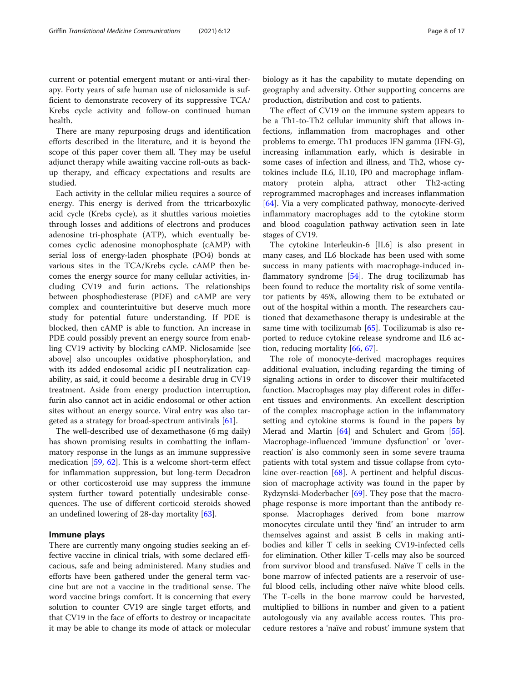current or potential emergent mutant or anti-viral therapy. Forty years of safe human use of niclosamide is sufficient to demonstrate recovery of its suppressive TCA/ Krebs cycle activity and follow-on continued human health.

There are many repurposing drugs and identification efforts described in the literature, and it is beyond the scope of this paper cover them all. They may be useful adjunct therapy while awaiting vaccine roll-outs as backup therapy, and efficacy expectations and results are studied.

Each activity in the cellular milieu requires a source of energy. This energy is derived from the ttricarboxylic acid cycle (Krebs cycle), as it shuttles various moieties through losses and additions of electrons and produces adenosine tri-phosphate (ATP), which eventually becomes cyclic adenosine monophosphate (cAMP) with serial loss of energy-laden phosphate (PO4) bonds at various sites in the TCA/Krebs cycle. cAMP then becomes the energy source for many cellular activities, including CV19 and furin actions. The relationships between phosphodiesterase (PDE) and cAMP are very complex and counterintuitive but deserve much more study for potential future understanding. If PDE is blocked, then cAMP is able to function. An increase in PDE could possibly prevent an energy source from enabling CV19 activity by blocking cAMP. Niclosamide [see above] also uncouples oxidative phosphorylation, and with its added endosomal acidic pH neutralization capability, as said, it could become a desirable drug in CV19 treatment. Aside from energy production interruption, furin also cannot act in acidic endosomal or other action sites without an energy source. Viral entry was also targeted as a strategy for broad-spectrum antivirals [[61](#page-16-0)].

The well-described use of dexamethasone (6 mg daily) has shown promising results in combatting the inflammatory response in the lungs as an immune suppressive medication [[59](#page-16-0), [62\]](#page-16-0). This is a welcome short-term effect for inflammation suppression, but long-term Decadron or other corticosteroid use may suppress the immune system further toward potentially undesirable consequences. The use of different corticoid steroids showed an undefined lowering of 28-day mortality [[63\]](#page-16-0).

# Immune plays

There are currently many ongoing studies seeking an effective vaccine in clinical trials, with some declared efficacious, safe and being administered. Many studies and efforts have been gathered under the general term vaccine but are not a vaccine in the traditional sense. The word vaccine brings comfort. It is concerning that every solution to counter CV19 are single target efforts, and that CV19 in the face of efforts to destroy or incapacitate it may be able to change its mode of attack or molecular biology as it has the capability to mutate depending on geography and adversity. Other supporting concerns are production, distribution and cost to patients.

The effect of CV19 on the immune system appears to be a Th1-to-Th2 cellular immunity shift that allows infections, inflammation from macrophages and other problems to emerge. Th1 produces IFN gamma (IFN-G), increasing inflammation early, which is desirable in some cases of infection and illness, and Th2, whose cytokines include IL6, IL10, IP0 and macrophage inflammatory protein alpha, attract other Th2-acting reprogrammed macrophages and increases inflammation [[64\]](#page-16-0). Via a very complicated pathway, monocyte-derived inflammatory macrophages add to the cytokine storm and blood coagulation pathway activation seen in late stages of CV19.

The cytokine Interleukin-6 [IL6] is also present in many cases, and IL6 blockade has been used with some success in many patients with macrophage-induced in-flammatory syndrome [[54\]](#page-16-0). The drug tocilizumab has been found to reduce the mortality risk of some ventilator patients by 45%, allowing them to be extubated or out of the hospital within a month. The researchers cautioned that dexamethasone therapy is undesirable at the same time with tocilizumab [[65](#page-16-0)]. Tocilizumab is also reported to reduce cytokine release syndrome and IL6 action, reducing mortality [[66,](#page-16-0) [67\]](#page-16-0).

The role of monocyte-derived macrophages requires additional evaluation, including regarding the timing of signaling actions in order to discover their multifaceted function. Macrophages may play different roles in different tissues and environments. An excellent description of the complex macrophage action in the inflammatory setting and cytokine storms is found in the papers by Merad and Martin [\[64](#page-16-0)] and Schulert and Grom [\[55](#page-16-0)]. Macrophage-influenced 'immune dysfunction' or 'overreaction' is also commonly seen in some severe trauma patients with total system and tissue collapse from cyto-kine over-reaction [\[68](#page-16-0)]. A pertinent and helpful discussion of macrophage activity was found in the paper by Rydzynski-Moderbacher [\[69](#page-16-0)]. They pose that the macrophage response is more important than the antibody response. Macrophages derived from bone marrow monocytes circulate until they 'find' an intruder to arm themselves against and assist B cells in making antibodies and killer T cells in seeking CV19-infected cells for elimination. Other killer T-cells may also be sourced from survivor blood and transfused. Naïve T cells in the bone marrow of infected patients are a reservoir of useful blood cells, including other naïve white blood cells. The T-cells in the bone marrow could be harvested, multiplied to billions in number and given to a patient autologously via any available access routes. This procedure restores a 'naïve and robust' immune system that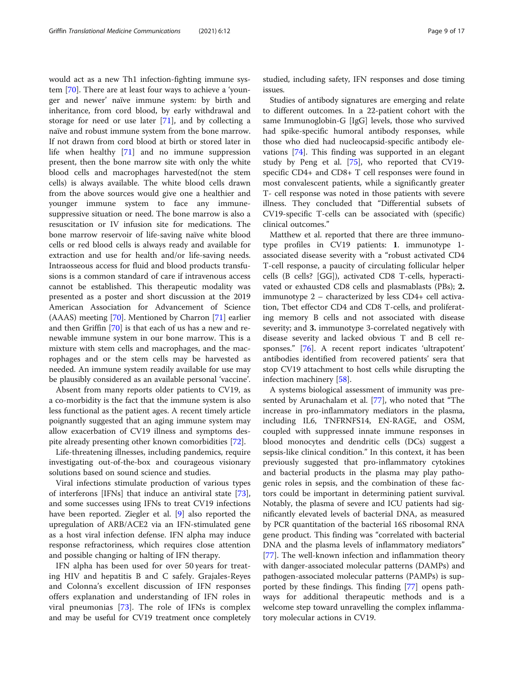would act as a new Th1 infection-fighting immune system [[70](#page-16-0)]. There are at least four ways to achieve a 'younger and newer' naïve immune system: by birth and inheritance, from cord blood, by early withdrawal and storage for need or use later [[71](#page-16-0)], and by collecting a naïve and robust immune system from the bone marrow. If not drawn from cord blood at birth or stored later in life when healthy [\[71](#page-16-0)] and no immune suppression present, then the bone marrow site with only the white blood cells and macrophages harvested(not the stem cells) is always available. The white blood cells drawn from the above sources would give one a healthier and younger immune system to face any immunesuppressive situation or need. The bone marrow is also a resuscitation or IV infusion site for medications. The bone marrow reservoir of life-saving naïve white blood cells or red blood cells is always ready and available for extraction and use for health and/or life-saving needs. Intraosseous access for fluid and blood products transfusions is a common standard of care if intravenous access cannot be established. This therapeutic modality was presented as a poster and short discussion at the 2019 American Association for Advancement of Science (AAAS) meeting [[70](#page-16-0)]. Mentioned by Charron [\[71\]](#page-16-0) earlier and then Griffin [\[70\]](#page-16-0) is that each of us has a new and renewable immune system in our bone marrow. This is a mixture with stem cells and macrophages, and the macrophages and or the stem cells may be harvested as needed. An immune system readily available for use may be plausibly considered as an available personal 'vaccine'.

Absent from many reports older patients to CV19, as a co-morbidity is the fact that the immune system is also less functional as the patient ages. A recent timely article poignantly suggested that an aging immune system may allow exacerbation of CV19 illness and symptoms despite already presenting other known comorbidities [[72\]](#page-16-0).

Life-threatening illnesses, including pandemics, require investigating out-of-the-box and courageous visionary solutions based on sound science and studies.

Viral infections stimulate production of various types of interferons [IFNs] that induce an antiviral state [\[73](#page-16-0)], and some successes using IFNs to treat CV19 infections have been reported. Ziegler et al. [[9\]](#page-15-0) also reported the upregulation of ARB/ACE2 via an IFN-stimulated gene as a host viral infection defense. IFN alpha may induce response refractoriness, which requires close attention and possible changing or halting of IFN therapy.

IFN alpha has been used for over 50 years for treating HIV and hepatitis B and C safely. Grajales-Reyes and Colonna's excellent discussion of IFN responses offers explanation and understanding of IFN roles in viral pneumonias [[73\]](#page-16-0). The role of IFNs is complex and may be useful for CV19 treatment once completely studied, including safety, IFN responses and dose timing issues.

Studies of antibody signatures are emerging and relate to different outcomes. In a 22-patient cohort with the same Immunoglobin-G [IgG] levels, those who survived had spike-specific humoral antibody responses, while those who died had nucleocapsid-specific antibody elevations [\[74](#page-16-0)]. This finding was supported in an elegant study by Peng et al. [\[75\]](#page-16-0), who reported that CV19 specific CD4+ and CD8+ T cell responses were found in most convalescent patients, while a significantly greater T- cell response was noted in those patients with severe illness. They concluded that "Differential subsets of CV19-specific T-cells can be associated with (specific) clinical outcomes."

Matthew et al. reported that there are three immunotype profiles in CV19 patients: 1. immunotype 1 associated disease severity with a "robust activated CD4 T-cell response, a paucity of circulating follicular helper cells (B cells? [GG]), activated CD8 T-cells, hyperactivated or exhausted CD8 cells and plasmablasts (PBs); 2. immunotype 2 – characterized by less CD4+ cell activation, Tbet effector CD4 and CD8 T-cells, and proliferating memory B cells and not associated with disease severity; and 3. immunotype 3-correlated negatively with disease severity and lacked obvious T and B cell responses." [[76\]](#page-16-0). A recent report indicates 'ultrapotent' antibodies identified from recovered patients' sera that stop CV19 attachment to host cells while disrupting the infection machinery [\[58](#page-16-0)].

A systems biological assessment of immunity was presented by Arunachalam et al. [[77\]](#page-16-0), who noted that "The increase in pro-inflammatory mediators in the plasma, including IL6, TNFRNFS14, EN-RAGE, and OSM, coupled with suppressed innate immune responses in blood monocytes and dendritic cells (DCs) suggest a sepsis-like clinical condition." In this context, it has been previously suggested that pro-inflammatory cytokines and bacterial products in the plasma may play pathogenic roles in sepsis, and the combination of these factors could be important in determining patient survival. Notably, the plasma of severe and ICU patients had significantly elevated levels of bacterial DNA, as measured by PCR quantitation of the bacterial 16S ribosomal RNA gene product. This finding was "correlated with bacterial DNA and the plasma levels of inflammatory mediators" [[77\]](#page-16-0). The well-known infection and inflammation theory with danger-associated molecular patterns (DAMPs) and pathogen-associated molecular patterns (PAMPs) is supported by these findings. This finding [[77](#page-16-0)] opens pathways for additional therapeutic methods and is a welcome step toward unravelling the complex inflammatory molecular actions in CV19.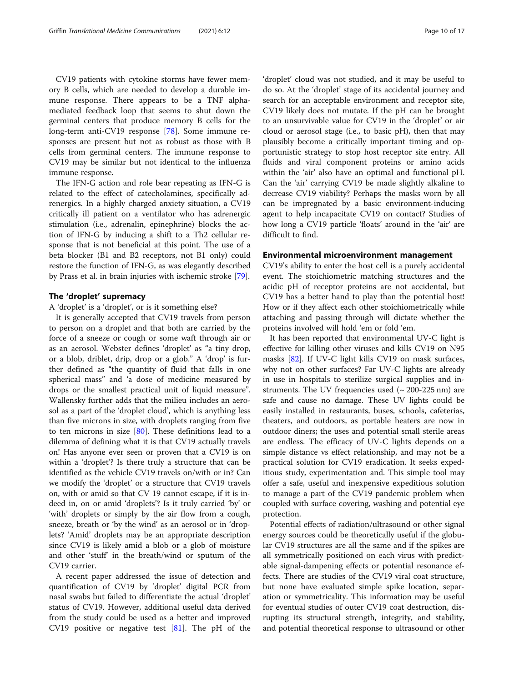CV19 patients with cytokine storms have fewer memory B cells, which are needed to develop a durable immune response. There appears to be a TNF alphamediated feedback loop that seems to shut down the germinal centers that produce memory B cells for the long-term anti-CV19 response [[78\]](#page-16-0). Some immune responses are present but not as robust as those with B cells from germinal centers. The immune response to CV19 may be similar but not identical to the influenza immune response.

The IFN-G action and role bear repeating as IFN-G is related to the effect of catecholamines, specifically adrenergics. In a highly charged anxiety situation, a CV19 critically ill patient on a ventilator who has adrenergic stimulation (i.e., adrenalin, epinephrine) blocks the action of IFN-G by inducing a shift to a Th2 cellular response that is not beneficial at this point. The use of a beta blocker (B1 and B2 receptors, not B1 only) could restore the function of IFN-G, as was elegantly described by Prass et al. in brain injuries with ischemic stroke [\[79](#page-16-0)].

# The 'droplet' supremacy

A 'droplet' is a 'droplet', or is it something else?

It is generally accepted that CV19 travels from person to person on a droplet and that both are carried by the force of a sneeze or cough or some waft through air or as an aerosol. Webster defines 'droplet' as "a tiny drop, or a blob, driblet, drip, drop or a glob." A 'drop' is further defined as "the quantity of fluid that falls in one spherical mass" and 'a dose of medicine measured by drops or the smallest practical unit of liquid measure". Wallensky further adds that the milieu includes an aerosol as a part of the 'droplet cloud', which is anything less than five microns in size, with droplets ranging from five to ten microns in size  $[80]$  $[80]$ . These definitions lead to a dilemma of defining what it is that CV19 actually travels on! Has anyone ever seen or proven that a CV19 is on within a 'droplet'? Is there truly a structure that can be identified as the vehicle CV19 travels on/with or in? Can we modify the 'droplet' or a structure that CV19 travels on, with or amid so that CV 19 cannot escape, if it is indeed in, on or amid 'droplets'? Is it truly carried 'by' or 'with' droplets or simply by the air flow from a cough, sneeze, breath or 'by the wind' as an aerosol or in 'droplets? 'Amid' droplets may be an appropriate description since CV19 is likely amid a blob or a glob of moisture and other 'stuff' in the breath/wind or sputum of the CV19 carrier.

A recent paper addressed the issue of detection and quantification of CV19 by 'droplet' digital PCR from nasal swabs but failed to differentiate the actual 'droplet' status of CV19. However, additional useful data derived from the study could be used as a better and improved CV19 positive or negative test [\[81](#page-16-0)]. The pH of the

'droplet' cloud was not studied, and it may be useful to do so. At the 'droplet' stage of its accidental journey and search for an acceptable environment and receptor site, CV19 likely does not mutate. If the pH can be brought to an unsurvivable value for CV19 in the 'droplet' or air cloud or aerosol stage (i.e., to basic pH), then that may plausibly become a critically important timing and opportunistic strategy to stop host receptor site entry. All fluids and viral component proteins or amino acids within the 'air' also have an optimal and functional pH. Can the 'air' carrying CV19 be made slightly alkaline to decrease CV19 viability? Perhaps the masks worn by all can be impregnated by a basic environment-inducing agent to help incapacitate CV19 on contact? Studies of how long a CV19 particle 'floats' around in the 'air' are difficult to find.

#### Environmental microenvironment management

CV19's ability to enter the host cell is a purely accidental event. The stoichiometric matching structures and the acidic pH of receptor proteins are not accidental, but CV19 has a better hand to play than the potential host! How or if they affect each other stoichiometrically while attaching and passing through will dictate whether the proteins involved will hold 'em or fold 'em.

It has been reported that environmental UV-C light is effective for killing other viruses and kills CV19 on N95 masks [[82\]](#page-16-0). If UV-C light kills CV19 on mask surfaces, why not on other surfaces? Far UV-C lights are already in use in hospitals to sterilize surgical supplies and instruments. The UV frequencies used  $($   $\sim$  200-225 nm) are safe and cause no damage. These UV lights could be easily installed in restaurants, buses, schools, cafeterias, theaters, and outdoors, as portable heaters are now in outdoor diners; the uses and potential small sterile areas are endless. The efficacy of UV-C lights depends on a simple distance vs effect relationship, and may not be a practical solution for CV19 eradication. It seeks expeditious study, experimentation and. This simple tool may offer a safe, useful and inexpensive expeditious solution to manage a part of the CV19 pandemic problem when coupled with surface covering, washing and potential eye protection.

Potential effects of radiation/ultrasound or other signal energy sources could be theoretically useful if the globular CV19 structures are all the same and if the spikes are all symmetrically positioned on each virus with predictable signal-dampening effects or potential resonance effects. There are studies of the CV19 viral coat structure, but none have evaluated simple spike location, separation or symmetricality. This information may be useful for eventual studies of outer CV19 coat destruction, disrupting its structural strength, integrity, and stability, and potential theoretical response to ultrasound or other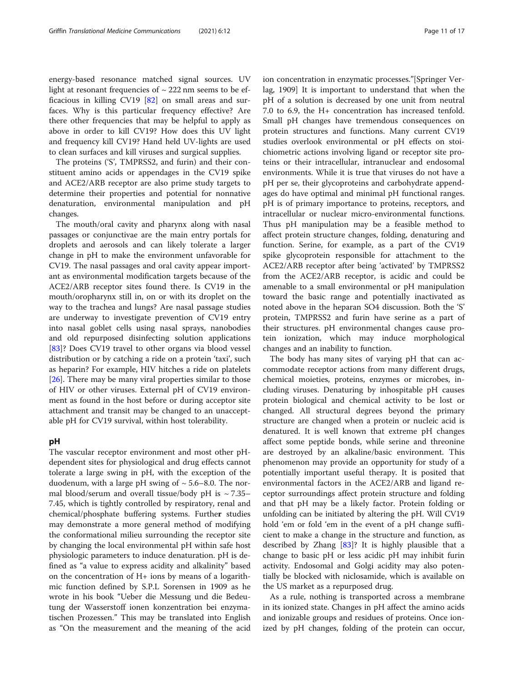energy-based resonance matched signal sources. UV light at resonant frequencies of  $\sim$  222 nm seems to be efficacious in killing CV19 [\[82](#page-16-0)] on small areas and surfaces. Why is this particular frequency effective? Are there other frequencies that may be helpful to apply as above in order to kill CV19? How does this UV light and frequency kill CV19? Hand held UV-lights are used to clean surfaces and kill viruses and surgical supplies.

The proteins ('S', TMPRSS2, and furin) and their constituent amino acids or appendages in the CV19 spike and ACE2/ARB receptor are also prime study targets to determine their properties and potential for nonnative denaturation, environmental manipulation and pH changes.

The mouth/oral cavity and pharynx along with nasal passages or conjunctivae are the main entry portals for droplets and aerosols and can likely tolerate a larger change in pH to make the environment unfavorable for CV19. The nasal passages and oral cavity appear important as environmental modification targets because of the ACE2/ARB receptor sites found there. Is CV19 in the mouth/oropharynx still in, on or with its droplet on the way to the trachea and lungs? Are nasal passage studies are underway to investigate prevention of CV19 entry into nasal goblet cells using nasal sprays, nanobodies and old repurposed disinfecting solution applications [[83\]](#page-16-0)? Does CV19 travel to other organs via blood vessel distribution or by catching a ride on a protein 'taxi', such as heparin? For example, HIV hitches a ride on platelets [[26\]](#page-15-0). There may be many viral properties similar to those of HIV or other viruses. External pH of CV19 environment as found in the host before or during acceptor site attachment and transit may be changed to an unacceptable pH for CV19 survival, within host tolerability.

# pH

The vascular receptor environment and most other pHdependent sites for physiological and drug effects cannot tolerate a large swing in pH, with the exception of the duodenum, with a large pH swing of  $\sim$  5.6–8.0. The normal blood/serum and overall tissue/body pH is  $\sim$  7.35– 7.45, which is tightly controlled by respiratory, renal and chemical/phosphate buffering systems. Further studies may demonstrate a more general method of modifying the conformational milieu surrounding the receptor site by changing the local environmental pH within safe host physiologic parameters to induce denaturation. pH is defined as "a value to express acidity and alkalinity" based on the concentration of H+ ions by means of a logarithmic function defined by S.P.L Sorensen in 1909 as he wrote in his book "Ueber die Messung und die Bedeutung der Wasserstoff ionen konzentration bei enzymatischen Prozessen." This may be translated into English as "On the measurement and the meaning of the acid ion concentration in enzymatic processes."[Springer Verlag, 1909] It is important to understand that when the pH of a solution is decreased by one unit from neutral 7.0 to 6.9, the H+ concentration has increased tenfold. Small pH changes have tremendous consequences on protein structures and functions. Many current CV19 studies overlook environmental or pH effects on stoichiometric actions involving ligand or receptor site proteins or their intracellular, intranuclear and endosomal environments. While it is true that viruses do not have a pH per se, their glycoproteins and carbohydrate appendages do have optimal and minimal pH functional ranges. pH is of primary importance to proteins, receptors, and intracellular or nuclear micro-environmental functions. Thus pH manipulation may be a feasible method to affect protein structure changes, folding, denaturing and function. Serine, for example, as a part of the CV19 spike glycoprotein responsible for attachment to the ACE2/ARB receptor after being 'activated' by TMPRSS2 from the ACE2/ARB receptor, is acidic and could be amenable to a small environmental or pH manipulation toward the basic range and potentially inactivated as noted above in the heparan SO4 discussion. Both the 'S' protein, TMPRSS2 and furin have serine as a part of their structures. pH environmental changes cause protein ionization, which may induce morphological changes and an inability to function.

The body has many sites of varying pH that can accommodate receptor actions from many different drugs, chemical moieties, proteins, enzymes or microbes, including viruses. Denaturing by inhospitable pH causes protein biological and chemical activity to be lost or changed. All structural degrees beyond the primary structure are changed when a protein or nucleic acid is denatured. It is well known that extreme pH changes affect some peptide bonds, while serine and threonine are destroyed by an alkaline/basic environment. This phenomenon may provide an opportunity for study of a potentially important useful therapy. It is posited that environmental factors in the ACE2/ARB and ligand receptor surroundings affect protein structure and folding and that pH may be a likely factor. Protein folding or unfolding can be initiated by altering the pH. Will CV19 hold 'em or fold 'em in the event of a pH change sufficient to make a change in the structure and function, as described by Zhang  $[83]$  $[83]$ ? It is highly plausible that a change to basic pH or less acidic pH may inhibit furin activity. Endosomal and Golgi acidity may also potentially be blocked with niclosamide, which is available on the US market as a repurposed drug.

As a rule, nothing is transported across a membrane in its ionized state. Changes in pH affect the amino acids and ionizable groups and residues of proteins. Once ionized by pH changes, folding of the protein can occur,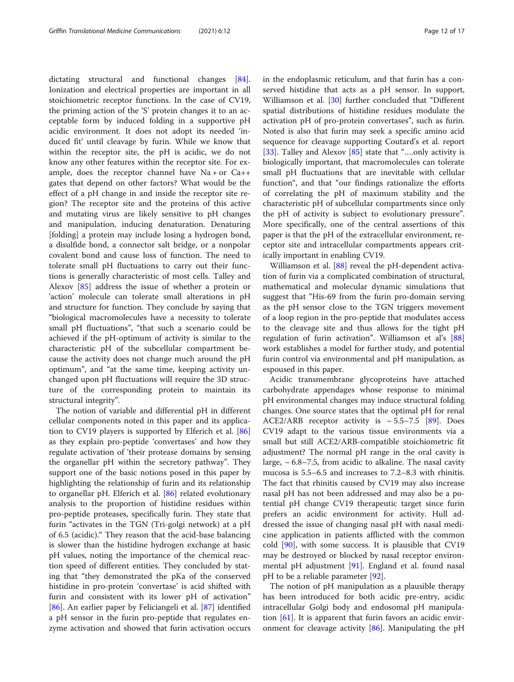dictating structural and functional changes [\[84](#page-16-0)]. Ionization and electrical properties are important in all stoichiometric receptor functions. In the case of CV19, the priming action of the 'S' protein changes it to an acceptable form by induced folding in a supportive pH acidic environment. It does not adopt its needed 'induced fit' until cleavage by furin. While we know that within the receptor site, the pH is acidic, we do not know any other features within the receptor site. For example, does the receptor channel have  $Na + or Ca++$ gates that depend on other factors? What would be the effect of a pH change in and inside the receptor site region? The receptor site and the proteins of this active and mutating virus are likely sensitive to pH changes and manipulation, inducing denaturation. Denaturing [folding] a protein may include losing a hydrogen bond, a disulfide bond, a connector salt bridge, or a nonpolar covalent bond and cause loss of function. The need to tolerate small pH fluctuations to carry out their functions is generally characteristic of most cells. Talley and Alexov [[85\]](#page-16-0) address the issue of whether a protein or 'action' molecule can tolerate small alterations in pH and structure for function. They conclude by saying that "biological macromolecules have a necessity to tolerate small pH fluctuations", "that such a scenario could be achieved if the pH-optimum of activity is similar to the characteristic pH of the subcellular compartment because the activity does not change much around the pH optimum", and "at the same time, keeping activity unchanged upon pH fluctuations will require the 3D structure of the corresponding protein to maintain its structural integrity".

The notion of variable and differential pH in different cellular components noted in this paper and its application to CV19 players is supported by Elferich et al. [[86](#page-16-0)] as they explain pro-peptide 'convertases' and how they regulate activation of 'their protease domains by sensing the organellar pH within the secretory pathway". They support one of the basic notions posed in this paper by highlighting the relationship of furin and its relationship to organellar pH. Elferich et al. [\[86](#page-16-0)] related evolutionary analysis to the proportion of histidine residues within pro-peptide proteases, specifically furin. They state that furin "activates in the TGN (Tri-golgi network) at a pH of 6.5 (acidic)." They reason that the acid-base balancing is slower than the histidine hydrogen exchange at basic pH values, noting the importance of the chemical reaction speed of different entities. They concluded by stating that "they demonstrated the pKa of the conserved histidine in pro-protein 'convertase' is acid shifted with furin and consistent with its lower pH of activation" [[86\]](#page-16-0). An earlier paper by Feliciangeli et al. [\[87\]](#page-16-0) identified a pH sensor in the furin pro-peptide that regulates enzyme activation and showed that furin activation occurs in the endoplasmic reticulum, and that furin has a conserved histidine that acts as a pH sensor. In support, Williamson et al. [\[30](#page-15-0)] further concluded that "Different spatial distributions of histidine residues modulate the activation pH of pro-protein convertases", such as furin. Noted is also that furin may seek a specific amino acid sequence for cleavage supporting Coutard's et al. report [[33\]](#page-15-0). Talley and Alexov [\[85](#page-16-0)] state that "....only activity is biologically important, that macromolecules can tolerate small pH fluctuations that are inevitable with cellular function", and that "our findings rationalize the efforts of correlating the pH of maximum stability and the characteristic pH of subcellular compartments since only the pH of activity is subject to evolutionary pressure". More specifically, one of the central assertions of this paper is that the pH of the extracellular environment, receptor site and intracellular compartments appears critically important in enabling CV19.

Williamson et al. [\[88](#page-16-0)] reveal the pH-dependent activation of furin via a complicated combination of structural, mathematical and molecular dynamic simulations that suggest that "His-69 from the furin pro-domain serving as the pH sensor close to the TGN triggers movement of a loop region in the pro-peptide that modulates access to the cleavage site and thus allows for the tight pH regulation of furin activation". Williamson et al's [[88](#page-16-0)] work establishes a model for further study, and potential furin control via environmental and pH manipulation, as espoused in this paper.

Acidic transmembrane glycoproteins have attached carbohydrate appendages whose response to minimal pH environmental changes may induce structural folding changes. One source states that the optimal pH for renal ACE2/ARB receptor activity is  $\sim 5.5-7.5$  [\[89\]](#page-16-0). Does CV19 adapt to the various tissue environments via a small but still ACE2/ARB-compatible stoichiometric fit adjustment? The normal pH range in the oral cavity is large,  $\sim$  6.8–7.5, from acidic to alkaline. The nasal cavity mucosa is 5.5–6.5 and increases to 7.2–8.3 with rhinitis. The fact that rhinitis caused by CV19 may also increase nasal pH has not been addressed and may also be a potential pH change CV19 therapeutic target since furin prefers an acidic environment for activity. Hull addressed the issue of changing nasal pH with nasal medicine application in patients afflicted with the common cold [\[90](#page-16-0)], with some success. It is plausible that CV19 may be destroyed or blocked by nasal receptor environmental pH adjustment [\[91](#page-16-0)]. England et al. found nasal pH to be a reliable parameter [[92](#page-16-0)].

The notion of pH manipulation as a plausible therapy has been introduced for both acidic pre-entry, acidic intracellular Golgi body and endosomal pH manipulation [\[61](#page-16-0)]. It is apparent that furin favors an acidic environment for cleavage activity [[86](#page-16-0)]. Manipulating the pH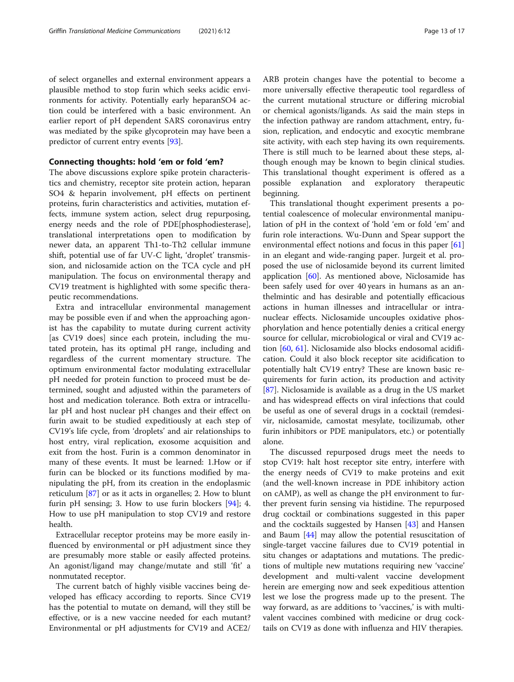of select organelles and external environment appears a plausible method to stop furin which seeks acidic environments for activity. Potentially early heparanSO4 action could be interfered with a basic environment. An earlier report of pH dependent SARS coronavirus entry was mediated by the spike glycoprotein may have been a predictor of current entry events [[93\]](#page-16-0).

# Connecting thoughts: hold 'em or fold 'em?

The above discussions explore spike protein characteristics and chemistry, receptor site protein action, heparan SO4 & heparin involvement, pH effects on pertinent proteins, furin characteristics and activities, mutation effects, immune system action, select drug repurposing, energy needs and the role of PDE[phosphodiesterase], translational interpretations open to modification by newer data, an apparent Th1-to-Th2 cellular immune shift, potential use of far UV-C light, 'droplet' transmission, and niclosamide action on the TCA cycle and pH manipulation. The focus on environmental therapy and CV19 treatment is highlighted with some specific therapeutic recommendations.

Extra and intracellular environmental management may be possible even if and when the approaching agonist has the capability to mutate during current activity [as CV19 does] since each protein, including the mutated protein, has its optimal pH range, including and regardless of the current momentary structure. The optimum environmental factor modulating extracellular pH needed for protein function to proceed must be determined, sought and adjusted within the parameters of host and medication tolerance. Both extra or intracellular pH and host nuclear pH changes and their effect on furin await to be studied expeditiously at each step of CV19's life cycle, from 'droplets' and air relationships to host entry, viral replication, exosome acquisition and exit from the host. Furin is a common denominator in many of these events. It must be learned: 1.How or if furin can be blocked or its functions modified by manipulating the pH, from its creation in the endoplasmic reticulum [\[87](#page-16-0)] or as it acts in organelles; 2. How to blunt furin pH sensing; 3. How to use furin blockers  $[94]$  $[94]$ ; 4. How to use pH manipulation to stop CV19 and restore health.

Extracellular receptor proteins may be more easily influenced by environmental or pH adjustment since they are presumably more stable or easily affected proteins. An agonist/ligand may change/mutate and still 'fit' a nonmutated receptor.

The current batch of highly visible vaccines being developed has efficacy according to reports. Since CV19 has the potential to mutate on demand, will they still be effective, or is a new vaccine needed for each mutant? Environmental or pH adjustments for CV19 and ACE2/ ARB protein changes have the potential to become a more universally effective therapeutic tool regardless of the current mutational structure or differing microbial or chemical agonists/ligands. As said the main steps in the infection pathway are random attachment, entry, fusion, replication, and endocytic and exocytic membrane site activity, with each step having its own requirements. There is still much to be learned about these steps, although enough may be known to begin clinical studies. This translational thought experiment is offered as a possible explanation and exploratory therapeutic beginning.

This translational thought experiment presents a potential coalescence of molecular environmental manipulation of pH in the context of 'hold 'em or fold 'em' and furin role interactions. Wu-Dunn and Spear support the environmental effect notions and focus in this paper [[61](#page-16-0)] in an elegant and wide-ranging paper. Jurgeit et al. proposed the use of niclosamide beyond its current limited application  $[60]$  $[60]$ . As mentioned above, Niclosamide has been safely used for over 40 years in humans as an anthelmintic and has desirable and potentially efficacious actions in human illnesses and intracellular or intranuclear effects. Niclosamide uncouples oxidative phosphorylation and hence potentially denies a critical energy source for cellular, microbiological or viral and CV19 action [\[60](#page-16-0), [61](#page-16-0)]. Niclosamide also blocks endosomal acidification. Could it also block receptor site acidification to potentially halt CV19 entry? These are known basic requirements for furin action, its production and activity [[87\]](#page-16-0). Niclosamide is available as a drug in the US market and has widespread effects on viral infections that could be useful as one of several drugs in a cocktail (remdesivir, niclosamide, camostat mesylate, tocilizumab, other furin inhibitors or PDE manipulators, etc.) or potentially alone.

The discussed repurposed drugs meet the needs to stop CV19: halt host receptor site entry, interfere with the energy needs of CV19 to make proteins and exit (and the well-known increase in PDE inhibitory action on cAMP), as well as change the pH environment to further prevent furin sensing via histidine. The repurposed drug cocktail or combinations suggested in this paper and the cocktails suggested by Hansen  $[43]$  $[43]$  and Hansen and Baum [[44](#page-15-0)] may allow the potential resuscitation of single-target vaccine failures due to CV19 potential in situ changes or adaptations and mutations. The predictions of multiple new mutations requiring new 'vaccine' development and multi-valent vaccine development herein are emerging now and seek expeditious attention lest we lose the progress made up to the present. The way forward, as are additions to 'vaccines,' is with multivalent vaccines combined with medicine or drug cocktails on CV19 as done with influenza and HIV therapies.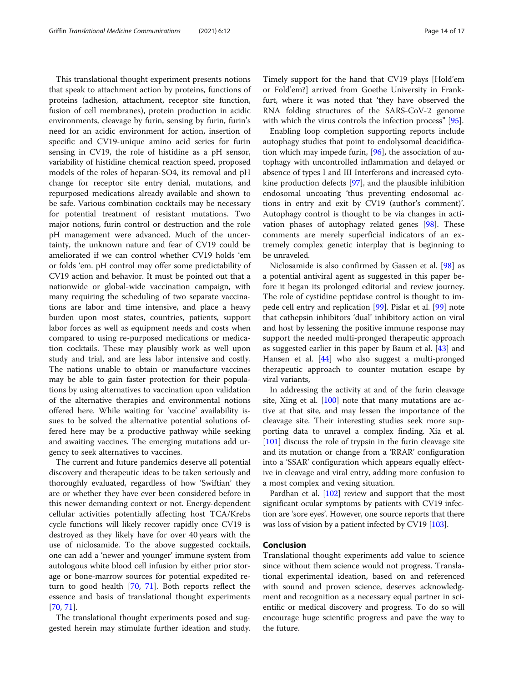This translational thought experiment presents notions that speak to attachment action by proteins, functions of proteins (adhesion, attachment, receptor site function, fusion of cell membranes), protein production in acidic environments, cleavage by furin, sensing by furin, furin's need for an acidic environment for action, insertion of specific and CV19-unique amino acid series for furin sensing in CV19, the role of histidine as a pH sensor, variability of histidine chemical reaction speed, proposed models of the roles of heparan-SO4, its removal and pH change for receptor site entry denial, mutations, and repurposed medications already available and shown to be safe. Various combination cocktails may be necessary for potential treatment of resistant mutations. Two major notions, furin control or destruction and the role pH management were advanced. Much of the uncertainty, the unknown nature and fear of CV19 could be ameliorated if we can control whether CV19 holds 'em or folds 'em. pH control may offer some predictability of CV19 action and behavior. It must be pointed out that a nationwide or global-wide vaccination campaign, with many requiring the scheduling of two separate vaccinations are labor and time intensive, and place a heavy burden upon most states, countries, patients, support labor forces as well as equipment needs and costs when compared to using re-purposed medications or medication cocktails. These may plausibly work as well upon study and trial, and are less labor intensive and costly. The nations unable to obtain or manufacture vaccines may be able to gain faster protection for their populations by using alternatives to vaccination upon validation of the alternative therapies and environmental notions offered here. While waiting for 'vaccine' availability issues to be solved the alternative potential solutions offered here may be a productive pathway while seeking and awaiting vaccines. The emerging mutations add urgency to seek alternatives to vaccines.

The current and future pandemics deserve all potential discovery and therapeutic ideas to be taken seriously and thoroughly evaluated, regardless of how 'Swiftian' they are or whether they have ever been considered before in this newer demanding context or not. Energy-dependent cellular activities potentially affecting host TCA/Krebs cycle functions will likely recover rapidly once CV19 is destroyed as they likely have for over 40 years with the use of niclosamide. To the above suggested cocktails, one can add a 'newer and younger' immune system from autologous white blood cell infusion by either prior storage or bone-marrow sources for potential expedited return to good health [\[70](#page-16-0), [71](#page-16-0)]. Both reports reflect the essence and basis of translational thought experiments [[70,](#page-16-0) [71\]](#page-16-0).

The translational thought experiments posed and suggested herein may stimulate further ideation and study. Timely support for the hand that CV19 plays [Hold'em or Fold'em?] arrived from Goethe University in Frankfurt, where it was noted that 'they have observed the RNA folding structures of the SARS-CoV-2 genome with which the virus controls the infection process" [\[95](#page-16-0)].

Enabling loop completion supporting reports include autophagy studies that point to endolysomal deacidification which may impede furin, [[96](#page-16-0)], the association of autophagy with uncontrolled inflammation and delayed or absence of types I and III Interferons and increased cytokine production defects [[97\]](#page-16-0), and the plausible inhibition endosomal uncoating 'thus preventing endosomal actions in entry and exit by CV19 (author's comment)'. Autophagy control is thought to be via changes in activation phases of autophagy related genes [[98](#page-16-0)]. These comments are merely superficial indicators of an extremely complex genetic interplay that is beginning to be unraveled.

Niclosamide is also confirmed by Gassen et al. [[98\]](#page-16-0) as a potential antiviral agent as suggested in this paper before it began its prolonged editorial and review journey. The role of cystidine peptidase control is thought to impede cell entry and replication [\[99](#page-16-0)]. Pislar et al. [[99](#page-16-0)] note that cathepsin inhibitors 'dual' inhibitory action on viral and host by lessening the positive immune response may support the needed multi-pronged therapeutic approach as suggested earlier in this paper by Baum et al. [[43](#page-15-0)] and Hansen et al. [[44\]](#page-15-0) who also suggest a multi-pronged therapeutic approach to counter mutation escape by viral variants,

In addressing the activity at and of the furin cleavage site, Xing et al. [\[100](#page-16-0)] note that many mutations are active at that site, and may lessen the importance of the cleavage site. Their interesting studies seek more supporting data to unravel a complex finding. Xia et al. [[101\]](#page-16-0) discuss the role of trypsin in the furin cleavage site and its mutation or change from a 'RRAR' configuration into a 'SSAR' configuration which appears equally effective in cleavage and viral entry, adding more confusion to a most complex and vexing situation.

Pardhan et al. [\[102\]](#page-16-0) review and support that the most significant ocular symptoms by patients with CV19 infection are 'sore eyes'. However, one source reports that there was loss of vision by a patient infected by CV19 [\[103\]](#page-16-0).

# Conclusion

Translational thought experiments add value to science since without them science would not progress. Translational experimental ideation, based on and referenced with sound and proven science, deserves acknowledgment and recognition as a necessary equal partner in scientific or medical discovery and progress. To do so will encourage huge scientific progress and pave the way to the future.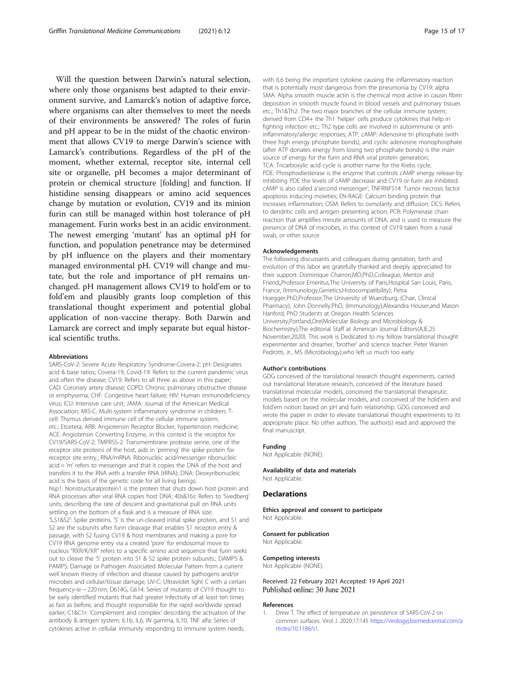<span id="page-14-0"></span>Will the question between Darwin's natural selection, where only those organisms best adapted to their environment survive, and Lamarck's notion of adaptive force, where organisms can alter themselves to meet the needs of their environments be answered? The roles of furin and pH appear to be in the midst of the chaotic environment that allows CV19 to merge Darwin's science with Lamarck's contributions. Regardless of the pH of the moment, whether external, receptor site, internal cell site or organelle, pH becomes a major determinant of protein or chemical structure [folding] and function. If histidine sensing disappears or amino acid sequences change by mutation or evolution, CV19 and its minion furin can still be managed within host tolerance of pH management. Furin works best in an acidic environment. The newest emerging 'mutant' has an optimal pH for function, and population penetrance may be determined by pH influence on the players and their momentary managed environmental pH. CV19 will change and mutate, but the role and importance of pH remains unchanged. pH management allows CV19 to hold'em or to fold'em and plausibly grants loop completion of this translational thought experiment and potential global application of non-vaccine therapy. Both Darwin and Lamarck are correct and imply separate but equal historical scientific truths.

#### Abbreviations

SARS-CoV-2: Severe Acute Respiratory Syndrome-Covera-2; pH: Designates acid & base ratios; Covera-19, Covid-19: Refers to the current pandemic virus and often the disease; CV19: Refers to all three as above in this paper; CAD: Coronary artery disease; COPD: Chronic pulmonary obstructive disease or emphysema; CHF: Congestive heart failure; HIV: Human immunodeficiency virus; ICU: Intensive care unit; JAMA: Journal of the American Medical Association; MIS-C: Multi-system inflammatory syndrome in children; Tcell: Thymus derived immune cell of the cellular immune system; etc.: Etcetera; ARB: Angiotensin Receptor Blocker, hypertension medicine; ACE: Angiotensin Converting Enzyme, in this context is the receptor for CV19/SARS-CoV-2; TMPRSS-2: Transmembrane protease serine, one of the receptor site proteins of the host, aids in 'priming' the spike protein for receptor site entry.; RNA/mRNA: Ribonucleic acid/messenger ribonucleic acid = 'm' refers to messenger and that it copies the DNA of the host and transfers it to the RNA with a transfer RNA (tRNA); DNA: Deoxyribonucleic acid is the basis of the genetic code for all living beings; Nsp1: Nonstructuralprotein1 is the protein that shuts down host protein and RNA processes after viral RNA copies host DNA; 40s&16s: Refers to 'Svedberg' units, describing the rate of descent and gravitational pull on RNA units settling on the bottom of a flask and is a measure of RNA size; 'S,S1&S2': Spike proteins. 'S' is the un-cleaved initial spike protein, and S1 and S2 are the subunits after furin cleavage that enables S1 receptor entry & passage, with S2 fusing CV19 & host membranes and making a pore for CV19 RNA genome entry via a created 'pore' for endosomal move to nucleus "RXR/K/XR" refers to a specific amino acid sequence that furin seeks out to cleave the 'S' protein into S1 & S2 spike protein subunits.; DAMPS & PAMPS: Damage or Pathogen Associated Molecular Pattern from a current well known theory of infection and disease caused by pathogens and/or microbes and cellular/tissue damage; UV-C: Ultraviolet light C with a certain frequency-ie ~ 220 nm; D614G, G614: Series of mutants of CV19 thought to be early identified mutants that had greater Infectivity of at least ten times as fast as before, and thought responsible for the rapid worldwide spread earlier; C1&C1r: 'Complement and complex' describing the activation of the antibody & antigen system; IL1b, IL6, IN gamma, IL10, TNF alfa: Series of cytokines active in cellular immunity responding to immune system needs,

with IL6 being the important cytokine causing the inflammatory reaction that is potentially most dangerous from the pneumonia by CV19; alpha SMA: Alpha smooth muscle actin is the chemical most active in causin fibrin deposition in smooth muscle found in blood vessels and pulmonary tissues etc.; Th1&Th2: The two major branches of the cellular immune system; derived from CD4+ the Th1 'helper' cells produce cytokines that help in fighting infection etc.; Th2 type cells are involved in autoimmune or antiinflammatory/allergic responses; ATP, cAMP: Adenosine tri phosphate (with three high energy phosphate bonds), and cyclic adenosine monophosphate (after ATP donates energy from losing two phosphate bonds) is the main source of energy for the furin and RNA viral protein generation; TCA: Tricarboxylic acid cycle is another name for the Krebs cycle; PDE: Phosphodiesterase is the enzyme that controls cAMP energy release-by inhibiting PDE the levels of cAMP decrease and CV19 or furin are inhibited. cAMP is also called a'second messenger'; TNFRNFS14: Tumor necrosis factor apoptosis inducing moieties; EN-RAGE: Calcium binding protein that increases inflammation; OSM: Refers to osmolarity and diffusion; DCS: Refers to dendritic cells and antigen presenting action; PCR: Polymerase chain reaction that amplifies minute amounts of DNA, and is used to measure the presence of DNA of microbes, in this context of CV19 taken from a nasal swab, or other source

#### Acknowledgements

The following discussants and colleagues during gestation, birth and evolution of this labor are gratefully thanked and deeply appreciated for their support: Dominique Charron,MD,PhD,Colleague, Mentor and Friend;,Professor Emeritus,The University of Paris,Hospital San Louis, Paris, France, (Immunology,Genetics,Histocompatibility); Petra Hoegger,PhD,Professor,The University of Wuerzburg, (Chair, Clinical Pharmacy); John Donnelly,PhD, (Immunology);Alexandra Houser,and Mason Hanford, PhD Students at Oregon Health Sciences University,Portland,Ore(Molecular Biology and Microbiology & Biochemistry);The editorial Staff at American Journal Editors(AJE,25 November,2020). This work is Dedicated to my fellow translational thought experimenter and dreamer, 'brother' and science teacher: Peter Warren Pedrotti, Jr., MS (Microbiology),who left us much too early.

#### Author's contributions

GDG conceived of the translational research thought experiments, carried out translational literature research, conceived of the literature based translational molecular models, conceived the translational therapeutic models based on the molecular models, and conceived of the hold'em and fold'em notion based on pH and furin relationship. GDG conceived and wrote the paper in order to elevate translational thought experiments to its appropriate place. No other authors. The author(s) read and approved the final manuscript.

#### Funding

Not Applicable (NONE).

Availability of data and materials Not Applicable

#### **Declarations**

Ethics approval and consent to participate Not Applicable.

#### Consent for publication

Not Applicable.

# Competing interests

Not Applicable (NONE).

Received: 22 February 2021 Accepted: 19 April 2021 Published online: 30 June 2021

#### References

Drew T. The effect of temperature on persistence of SARS-CoV-2 on common surfaces. Virol J. 2020;17:145 [https://virologyj.biomedcentral.com/a](https://virologyj.biomedcentral.com/articles/10.1186/s1) [rticles/10.1186/s1.](https://virologyj.biomedcentral.com/articles/10.1186/s1)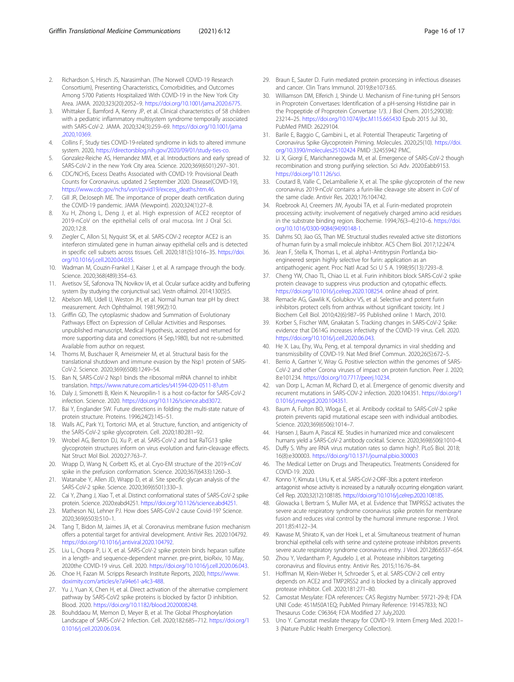- <span id="page-15-0"></span>2. Richardson S, Hirsch JS, Narasimhan. (The Norwell COVID-19 Research Consortium), Presenting Characteristics, Comorbidities, and Outcomes Among 5700 Patients Hospitalized With COVID-19 in the New York City Area. JAMA. 2020;323(20):2052–9. [https://doi.org/10.1001/jama.2020.6775.](https://doi.org/10.1001/jama.2020.6775)
- 3. Whittaker E, Bamford A, Kenny JP, et al. Clinical characteristics of 58 children with a pediatric inflammatory multisystem syndrome temporally associated with SARS-CoV-2. JAMA. 2020;324(3):259–69. [https://doi.org/10.1001/jama](https://doi.org/10.1001/jama,2020,10369) [,2020,10369.](https://doi.org/10.1001/jama,2020,10369)
- 4. Collins F, Study ties COVID-19-related syndrome in kids to altered immune system. 2020, <https://directorsblog.nih.gov/2020/09/01/study-ties-co>.
- 5. Gonzalez-Reiche AS, Hernandez MM, et al. Introductions and early spread of SARS-CoV-2 in the new York City area. Science. 2020;369(6501):297–301.
- 6. CDC/NCHS, Excess Deaths Associated with COVID-19: Provisional Death Counts for Coronavirus. updated 2 September 2020. Disease(COVID-19), [https://www.cdc.gov/nchs/vsrr/cpvid19/excess\\_deaths.htm.46.](https://www.cdc.gov/nchs/vsrr/cpvid19/excess_deaths.htm.46)
- 7. Gill JR, DeJoseph ME. The importance of proper death certification during the COVID-19 pandemic. JAMA (Viewpoint). 2020;324(1):27–8.
- Xu H, Zhong L, Deng J, et al. High expression of ACE2 receptor of 2019-nCoV on the epithelial cells of oral mucosa. Int J Oral Sci. 2020;12:8.
- 9. Ziegler C, Allon SJ, Nyquist SK, et al. SARS-COV-2 receptor ACE2 is an interferon stimulated gene in human airway epithelial cells and is detected in specific cell subsets across tissues. Cell. 2020;181(5):1016–35. [https://doi.](https://doi.org/10.1016/j.cell.2020.04.035) [org/10.1016/j.cell.2020.04.035](https://doi.org/10.1016/j.cell.2020.04.035).
- Wadman M, Couzin-Frankel J, Kaiser J, et al. A rampage through the body. Science. 2020;368(489):354–63.
- 11. Avetisov SE, Safonova TN, Novikov IA, et al. Ocular surface acidity and buffering system (by studying the conjunctival sac). Vestn oftalmol. 2014;130(5):5.
- 12. Abelson MB, Udell IJ, Weston JH, et al. Normal human tear pH by direct measurement. Arch Ophthalmol. 1981;99(2):10.
- 13. Griffin GD, The cytoplasmic shadow and Summation of Evolutionary Pathways Effect on Expression of Cellular Activities and Responses. unpublished manuscript, Medical Hypothesis, accepted and returned for more supporting data and corrections (4 Sep,1980), but not re-submitted. Available from author on request.
- 14. Thoms M, Buschauer R, Ameismeier M, et al. Structural basis for the translational shutdown and immune evasion by the Nsp1 protein of SARS-CoV-2. Science. 2020;369(6508):1249–54.
- 15. Ban N, SARS-CoV-2 Nsp1 binds the ribosomal mRNA channel to inhibit translation. <https://www.nature.com.articles/s41594-020-0511-8?utm>
- 16. Daly J, Simonetti B, Klein K. Neuropilin-1 is a host co-factor for SARS-CoV-2 infection. Science. 2020. [https://doi.org/10.1126/science.abd3072.](https://doi.org/10.1126/science.abd3072)
- 17. Bai Y, Englander SW. Future directions in folding: the multi-state nature of protein structure. Proteins. 1996;24(2):145–51.
- 18. Walls AC, Park YJ, Tortorici MA, et al. Structure, function, and antigenicity of the SARS-CoV-2 spike glycoprotein. Cell. 2020;180:281–92.
- 19. Wrobel AG, Benton DJ, Xu P, et al. SARS-CoV-2 and bat RaTG13 spike glycoprotein structures inform on virus evolution and furin-cleavage effects. Nat Struct Mol Biol. 2020;27:763–7.
- 20. Wrapp D, Wang N, Corbett KS, et al. Cryo-EM structure of the 2019-nCoV spike in the prefusion conformation. Science. 2020;367(6433):1260–3.
- 21. Watanabe Y, Allen JD, Wrapp D, et al. Site specific glycan analysis of the SARS-CoV-2 spike. Science. 2020;369(6501):330–3.
- 22. Cai Y, Zhang J, Xiao T, et al. Distinct conformational states of SARS-CoV-2 spike protein. Science. 2020:eabd4251. [https://doi.org/10.1126/science.abd4251.](https://doi.org/10.1126/science.abd4251)
- 23. Matheson NJ, Lehner PJ. How does SARS-CoV-2 cause Covid-19? Science. 2020;369(6503):510–1.
- 24. Tang T, Bidon M, Jaimes JA, et al. Coronavirus membrane fusion mechanism offers a potential target for antiviral development. Antivir Res. 2020:104792. <https://doi.org/10.1016/j.antiviral.2020.104792>.
- 25. Liu L, Chopra P, Li X, et al. SARS-CoV-2 spike protein binds heparan sulfate in a length- and sequence-dependent manner. pre-print, bioRxiv, 10 May, 2020the COVID-19 virus. Cell. 2020. [https://doi.org/10.1016/j.cell.2020.06.043.](https://doi.org/10.1016/j.cell.2020.06.043)
- 26. Choe H, Fazan M. Scripps Research Institute Reports, 2020, [https://www.](https://www.doximity.com/articles/e7a94e61-a4c3-488) [doximity.com/articles/e7a94e61-a4c3-488](https://www.doximity.com/articles/e7a94e61-a4c3-488).
- 27. Yu J, Yuan X, Chen H, et al. Direct activation of the alternative complement pathway by SARS-CoV2 spike proteins is blocked by factor D inhibition. Blood. 2020. [https://doi.org/10.1182/blood.2020008248.](https://doi.org/10.1182/blood.2020008248)
- 28. Bouhddaou M, Memon D, Meyer B, et al. The Global Phosphorylation Landscape of SARS-CoV-2 Infection. Cell. 2020;182:685–712. [https://doi.org/1](https://doi.org/10.1016/j.cell.2020.06.034) [0.1016/j.cell.2020.06.034.](https://doi.org/10.1016/j.cell.2020.06.034)
- 29. Braun E, Sauter D. Furin mediated protein processing in infectious diseases and cancer. Clin Trans Immunol. 2019;8:e1073.65.
- 30. Williamson DM, Elferich J, Shinde U. Mechanism of Fine-tuning pH Sensors in Proprotein Convertases: Identification of a pH-sensing Histidine pair in the Propeptide of Proprotein Convertase 1/3. J Biol Chem. 2015;290(38): 23214–25. <https://doi.org/10.1074/jbc.M115.665430> Epub 2015 Jul 30., PubMed PMID: 26229104.
- 31. Barile E, Baggio C, Gambini L, et al. Potential Therapeutic Targeting of Coronavirus Spike Glycoprotein Priming. Molecules. 2020;25(10). [https://doi.](https://doi.org/10.3390/molecules25102424) [org/10.3390/molecules25102424](https://doi.org/10.3390/molecules25102424) PMID :32455942 PMC.
- 32. Li X, Giorgi E, Marichannegowda M, et al. Emergence of SARS-CoV-2 though recombination and strong purifying selection. Sci Adv. 2020:Eabb9153. <https://doi.org/10.1126/sci>.
- 33. Coutard B, Valle C, DeLamballerie X, et al. The spike glycoprotein of the new coronavirus 2019-nCoV contains a furin-like cleavage site absent in CoV of the same clade. Antivir Res. 2020;176:104742.
- 34. Roebrook AJ, Creemers JW, Ayoubi TA, et al. Furin-mediated proprotein processing activity: involvement of negatively charged amino acid residues in the substrate binding region. Biochemie. 1994;76(3–4):210–6. [https://doi.](https://doi.org/10.1016/0300-9084(94)90148-1) [org/10.1016/0300-9084\(94\)90148-1](https://doi.org/10.1016/0300-9084(94)90148-1).
- 35. Dahms SO, Jiao GS, Than ME. Structural studies revealed active site distortions of human furin by a small molecule inhibitor. ACS Chem Biol. 2017;12:2474.
- 36. Jean F, Stella K, Thomas L, et al. alpha1-Antitrypsin Portland,a bioengineered serpin highly selective for furin: application as an antipathogenic agent. Proc Natl Acad Sci U S A. 1998;95(13):7293–8.
- 37. Cheng YW, Chao TL, Chiao LL et al. Furin inhibitors block SARS-CoV-2 spike protein cleavage to suppress virus production and cytopathic effects. <https://doi.org/10.1016/j.celrep.2020.108254>. online ahead of print.
- 38. Remacle AG, Gawlik K, Golubkov VS, et al. Selective and potent furin inhibitors protect cells from anthrax without significant toxicity. Int J Biochem Cell Biol. 2010;42(6):987–95 Published online 1 March, 2010.
- 39. Korber S, Fischer WM, Gnakatan S. Tracking changes in SARS-CoV-2 Spike: evidence that D614G increases infectivity of the COVID-19 virus. Cell. 2020. <https://doi.org/10.1016/j.cell.2020.06.043>.
- 40. He X. Lau, Ehy, Wu, Peng, et al. temporal dynamics in viral shedding and transmissibility of COVID-19. Nat Med Brief Commun. 2020;26(5):672–5.
- 41. Berrio A, Gartner V, Wray G. Positive selection within the genomes of SARS-CoV-2 and other Corona viruses of impact on protein function. Peer J. 2020; 8:e101234. <https://doi.org/10.7717/peerj.10234>.
- 42. van Dorp L, Acman M, Richard D, et al. Emergence of genomic diversity and recurrent mutations in SARS-COV-2 infection. 2020:104351. [https://doi.org/1](https://doi.org/10.1016/j.meegid.2020.104351) [0.1016/j.meegid.2020.104351](https://doi.org/10.1016/j.meegid.2020.104351).
- 43. Baum A, Fulton BO, Wloga E, et al. Antibody cocktail to SARS-CoV-2 spike protein prevents rapid mutational escape seen with individual antibodies. Science. 2020;369(6506):1014–7.
- 44. Hansen J, Baum A, Pascal KE. Studies in humanized mice and convalescent humans yield a SARS-CoV-2 antibody cocktail. Science. 2020;369(6506):1010–4.
- 45. Duffy S. Why are RNA virus mutation rates so damn high?. PLoS Biol. 2018; 16(8):e300003. <https://doi.org/10.1371/journal.pbio.300003>
- 46. The Medical Letter on Drugs and Therapeutics. Treatments Considered for COVID-19. 2020.
- 47. Konno Y, Kimuta I, Uriu K, et al. SARS-CoV-2-ORF-3bis a potent interferon antagonist whose activity is increased by a naturally occurring elongation variant. Cell Rep. 2020;32(12):108185. <https://doi.org/10.1016/j.celrep.2020.108185>.
- 48. Glowacka I, Bertram S, Muller MA, et al. Evidence that TMPRSS2 activates the severe acute respiratory syndrome coronavirus spike protein for membrane fusion and reduces viral control by the humoral immune response. J Virol. 2011;85:4122–34.
- 49. Kawase M, Shirato K, van der Hoek L, et al. Simultaneous treatment of human bronchial epithelial cells with serine and cysteine protease inhibitors prevents severe acute respiratory syndrome coronavirus entry. J Virol. 2012;86:6537–654.
- 50. Zhou Y, Vedantham P, Agudelo J, et al. Protease inhibitors targeting coronavirus and filovirus entry. Antivir Res. 2015;116:76–84.
- 51. Hoffman M, Klein-Weber H, Schroeder S, et al. SARS-COV-2 cell entry depends on ACE2 and TMP2RSS2 and is blocked by a clinically approved protease inhibitor. Cell. 2020;181:271–80.
- 52. Camostat Mesylate: FDA references: CAS Registry Number: 59721-29-8; FDA UNII Code: 451M50A1EQ; PubMed Primary Reference: 191457833; NCI Thesaurus Code: C96364; FDA Modified 27 July,2020.
- 53. Uno Y. Camostat mesilate therapy for COVID-19. Intern Emerg Med. 2020:1– 3 (Nature Public Health Emergency Collection).